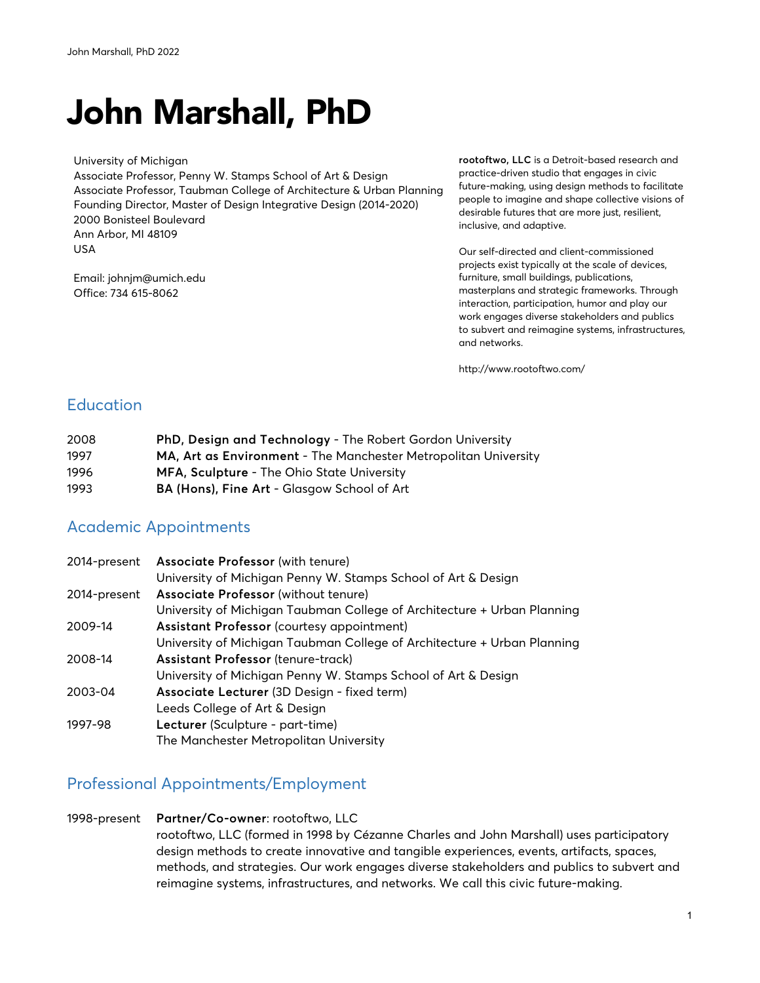# John Marshall, PhD

University of Michigan Associate Professor, Penny W. Stamps School of Art & Design Associate Professor, Taubman College of Architecture & Urban Planning Founding Director, Master of Design Integrative Design (2014-2020) 2000 Bonisteel Boulevard Ann Arbor, MI 48109 USA

Email: johnjm@umich.edu Office: 734 615-8062

**rootoftwo, LLC** is a Detroit-based research and practice-driven studio that engages in civic future-making, using design methods to facilitate people to imagine and shape collective visions of desirable futures that are more just, resilient, inclusive, and adaptive.

Our self-directed and client-commissioned projects exist typically at the scale of devices, furniture, small buildings, publications, masterplans and strategic frameworks. Through interaction, participation, humor and play our work engages diverse stakeholders and publics to subvert and reimagine systems, infrastructures, and networks.

http://www.rootoftwo.com/

### **Education**

| 2008 | PhD, Design and Technology - The Robert Gordon University       |
|------|-----------------------------------------------------------------|
| 1997 | MA, Art as Environment - The Manchester Metropolitan University |
| 1996 | <b>MFA, Sculpture - The Ohio State University</b>               |
| 1993 | BA (Hons), Fine Art - Glasgow School of Art                     |

### Academic Appointments

| 2014-present | <b>Associate Professor</b> (with tenure)                                |
|--------------|-------------------------------------------------------------------------|
|              | University of Michigan Penny W. Stamps School of Art & Design           |
| 2014-present | Associate Professor (without tenure)                                    |
|              | University of Michigan Taubman College of Architecture + Urban Planning |
| 2009-14      | Assistant Professor (courtesy appointment)                              |
|              | University of Michigan Taubman College of Architecture + Urban Planning |
| 2008-14      | Assistant Professor (tenure-track)                                      |
|              | University of Michigan Penny W. Stamps School of Art & Design           |
| 2003-04      | Associate Lecturer (3D Design - fixed term)                             |
|              | Leeds College of Art & Design                                           |
| 1997-98      | Lecturer (Sculpture - part-time)                                        |
|              | The Manchester Metropolitan University                                  |

#### Professional Appointments/Employment

#### 1998-present **Partner/Co-owner**: rootoftwo, LLC rootoftwo, LLC (formed in 1998 by Cézanne Charles and John Marshall) uses participatory design methods to create innovative and tangible experiences, events, artifacts, spaces, methods, and strategies. Our work engages diverse stakeholders and publics to subvert and reimagine systems, infrastructures, and networks. We call this civic future-making.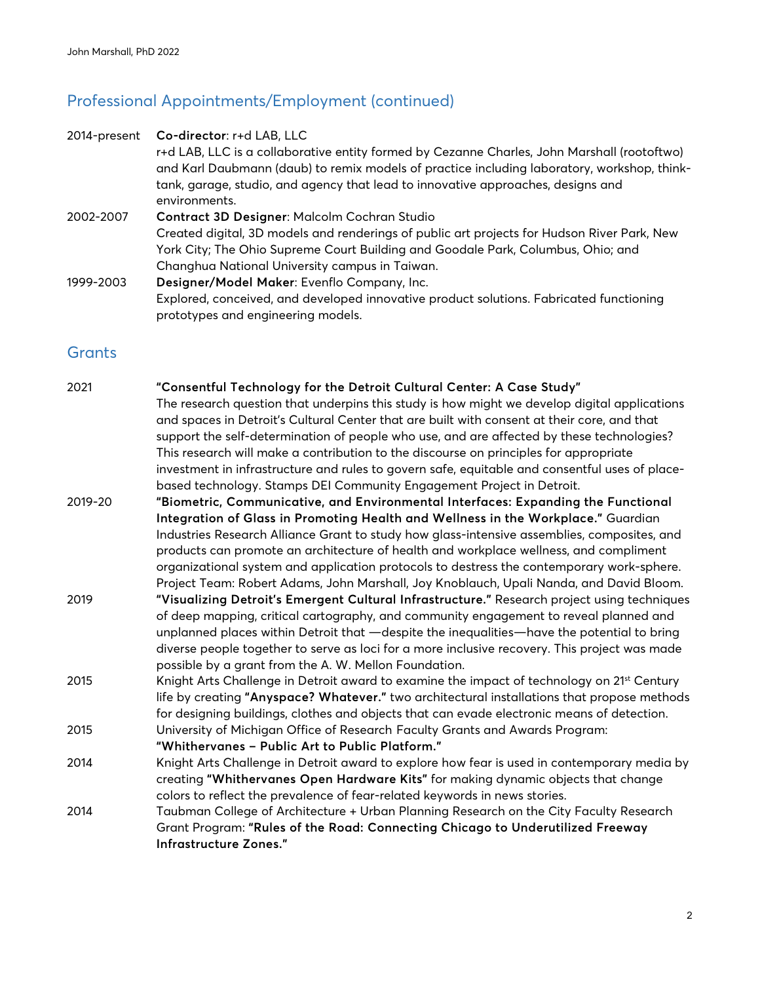# Professional Appointments/Employment (continued)

| 2014-present | Co-director: r+d LAB, LLC                                                                                                     |
|--------------|-------------------------------------------------------------------------------------------------------------------------------|
|              | r+d LAB, LLC is a collaborative entity formed by Cezanne Charles, John Marshall (rootoftwo)                                   |
|              | and Karl Daubmann (daub) to remix models of practice including laboratory, workshop, think-                                   |
|              | tank, garage, studio, and agency that lead to innovative approaches, designs and<br>environments.                             |
|              |                                                                                                                               |
| 2002-2007    | Contract 3D Designer: Malcolm Cochran Studio                                                                                  |
|              | Created digital, 3D models and renderings of public art projects for Hudson River Park, New                                   |
|              | York City; The Ohio Supreme Court Building and Goodale Park, Columbus, Ohio; and                                              |
|              | Changhua National University campus in Taiwan.                                                                                |
| 1999-2003    | Designer/Model Maker: Evenflo Company, Inc.                                                                                   |
|              | Explored, conceived, and developed innovative product solutions. Fabricated functioning<br>prototypes and engineering models. |

### **Grants**

| 2021    | "Consentful Technology for the Detroit Cultural Center: A Case Study"                                  |
|---------|--------------------------------------------------------------------------------------------------------|
|         | The research question that underpins this study is how might we develop digital applications           |
|         | and spaces in Detroit's Cultural Center that are built with consent at their core, and that            |
|         | support the self-determination of people who use, and are affected by these technologies?              |
|         | This research will make a contribution to the discourse on principles for appropriate                  |
|         | investment in infrastructure and rules to govern safe, equitable and consentful uses of place-         |
|         | based technology. Stamps DEI Community Engagement Project in Detroit.                                  |
| 2019-20 | "Biometric, Communicative, and Environmental Interfaces: Expanding the Functional                      |
|         | Integration of Glass in Promoting Health and Wellness in the Workplace." Guardian                      |
|         | Industries Research Alliance Grant to study how glass-intensive assemblies, composites, and            |
|         | products can promote an architecture of health and workplace wellness, and compliment                  |
|         | organizational system and application protocols to destress the contemporary work-sphere.              |
|         | Project Team: Robert Adams, John Marshall, Joy Knoblauch, Upali Nanda, and David Bloom.                |
| 2019    | "Visualizing Detroit's Emergent Cultural Infrastructure." Research project using techniques            |
|         | of deep mapping, critical cartography, and community engagement to reveal planned and                  |
|         | unplanned places within Detroit that -despite the inequalities-have the potential to bring             |
|         | diverse people together to serve as loci for a more inclusive recovery. This project was made          |
|         | possible by a grant from the A. W. Mellon Foundation.                                                  |
| 2015    | Knight Arts Challenge in Detroit award to examine the impact of technology on 21 <sup>st</sup> Century |
|         | life by creating "Anyspace? Whatever." two architectural installations that propose methods            |
|         | for designing buildings, clothes and objects that can evade electronic means of detection.             |
| 2015    | University of Michigan Office of Research Faculty Grants and Awards Program:                           |
|         | "Whithervanes - Public Art to Public Platform."                                                        |
| 2014    | Knight Arts Challenge in Detroit award to explore how fear is used in contemporary media by            |
|         | creating "Whithervanes Open Hardware Kits" for making dynamic objects that change                      |
|         | colors to reflect the prevalence of fear-related keywords in news stories.                             |
| 2014    | Taubman College of Architecture + Urban Planning Research on the City Faculty Research                 |
|         | Grant Program: "Rules of the Road: Connecting Chicago to Underutilized Freeway                         |
|         | Infrastructure Zones."                                                                                 |
|         |                                                                                                        |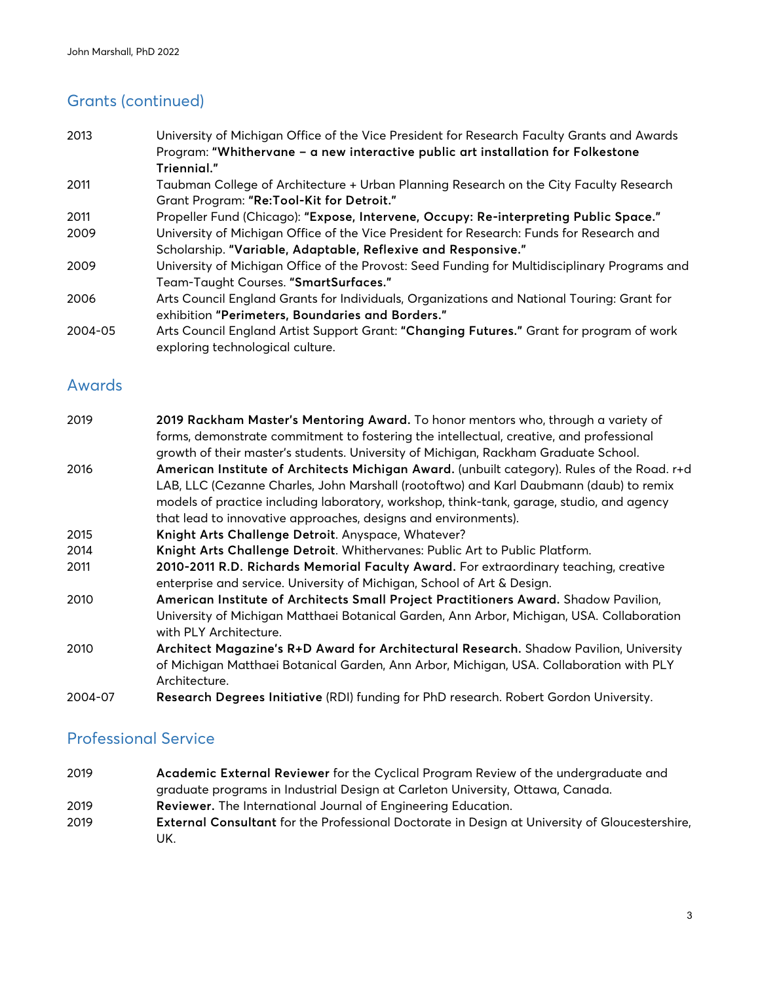### Grants (continued)

| 2013    | University of Michigan Office of the Vice President for Research Faculty Grants and Awards                                   |
|---------|------------------------------------------------------------------------------------------------------------------------------|
|         | Program: "Whithervane - a new interactive public art installation for Folkestone                                             |
|         | Triennial."                                                                                                                  |
| 2011    | Taubman College of Architecture + Urban Planning Research on the City Faculty Research                                       |
|         | Grant Program: "Re:Tool-Kit for Detroit."                                                                                    |
| 2011    | Propeller Fund (Chicago): "Expose, Intervene, Occupy: Re-interpreting Public Space."                                         |
| 2009    | University of Michigan Office of the Vice President for Research: Funds for Research and                                     |
|         | Scholarship. "Variable, Adaptable, Reflexive and Responsive."                                                                |
| 2009    | University of Michigan Office of the Provost: Seed Funding for Multidisciplinary Programs and                                |
|         | Team-Taught Courses. "SmartSurfaces."                                                                                        |
| 2006    | Arts Council England Grants for Individuals, Organizations and National Touring: Grant for                                   |
|         | exhibition "Perimeters, Boundaries and Borders."                                                                             |
| 2004-05 | Arts Council England Artist Support Grant: "Changing Futures." Grant for program of work<br>exploring technological culture. |

#### Awards

| 2019    | 2019 Rackham Master's Mentoring Award. To honor mentors who, through a variety of           |
|---------|---------------------------------------------------------------------------------------------|
|         | forms, demonstrate commitment to fostering the intellectual, creative, and professional     |
|         | growth of their master's students. University of Michigan, Rackham Graduate School.         |
| 2016    | American Institute of Architects Michigan Award. (unbuilt category). Rules of the Road. r+d |
|         | LAB, LLC (Cezanne Charles, John Marshall (rootoftwo) and Karl Daubmann (daub) to remix      |
|         | models of practice including laboratory, workshop, think-tank, garage, studio, and agency   |
|         | that lead to innovative approaches, designs and environments).                              |
| 2015    | Knight Arts Challenge Detroit. Anyspace, Whatever?                                          |
| 2014    | Knight Arts Challenge Detroit. Whithervanes: Public Art to Public Platform.                 |
| 2011    | 2010-2011 R.D. Richards Memorial Faculty Award. For extraordinary teaching, creative        |
|         | enterprise and service. University of Michigan, School of Art & Design.                     |
| 2010    | American Institute of Architects Small Project Practitioners Award. Shadow Pavilion,        |
|         | University of Michigan Matthaei Botanical Garden, Ann Arbor, Michigan, USA. Collaboration   |
|         | with PLY Architecture.                                                                      |
| 2010    | Architect Magazine's R+D Award for Architectural Research. Shadow Pavilion, University      |
|         | of Michigan Matthaei Botanical Garden, Ann Arbor, Michigan, USA. Collaboration with PLY     |
|         | Architecture.                                                                               |
| 2004-07 | Research Degrees Initiative (RDI) funding for PhD research. Robert Gordon University.       |

#### Professional Service

- 2019 **Academic External Reviewer** for the Cyclical Program Review of the undergraduate and graduate programs in Industrial Design at Carleton University, Ottawa, Canada. 2019 **Reviewer.** The International Journal of Engineering Education.
- 2019 **External Consultant** for the Professional Doctorate in Design at University of Gloucestershire, UK.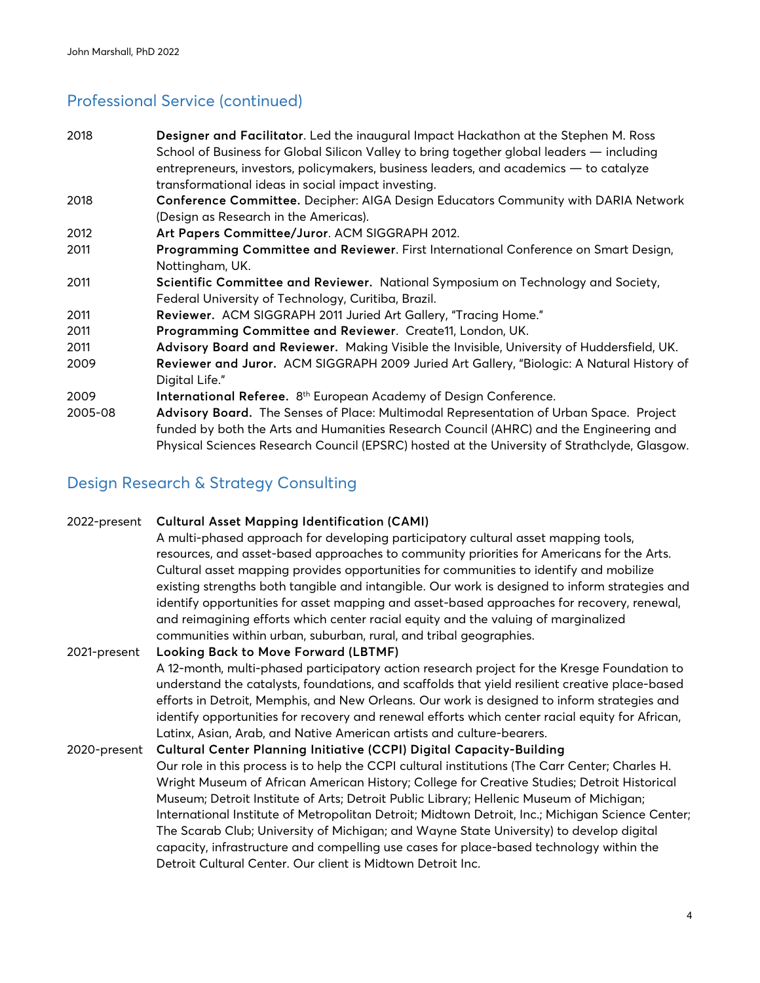### Professional Service (continued)

| 2018    | Designer and Facilitator. Led the inaugural Impact Hackathon at the Stephen M. Ross          |
|---------|----------------------------------------------------------------------------------------------|
|         | School of Business for Global Silicon Valley to bring together global leaders — including    |
|         | entrepreneurs, investors, policymakers, business leaders, and academics - to catalyze        |
|         | transformational ideas in social impact investing.                                           |
| 2018    | Conference Committee. Decipher: AIGA Design Educators Community with DARIA Network           |
|         | (Design as Research in the Americas).                                                        |
| 2012    | Art Papers Committee/Juror. ACM SIGGRAPH 2012.                                               |
| 2011    | Programming Committee and Reviewer. First International Conference on Smart Design,          |
|         | Nottingham, UK.                                                                              |
| 2011    | Scientific Committee and Reviewer. National Symposium on Technology and Society,             |
|         | Federal University of Technology, Curitiba, Brazil.                                          |
| 2011    | Reviewer. ACM SIGGRAPH 2011 Juried Art Gallery, "Tracing Home."                              |
| 2011    | Programming Committee and Reviewer. Create11, London, UK.                                    |
| 2011    | Advisory Board and Reviewer. Making Visible the Invisible, University of Huddersfield, UK.   |
| 2009    | Reviewer and Juror. ACM SIGGRAPH 2009 Juried Art Gallery, "Biologic: A Natural History of    |
|         | Digital Life."                                                                               |
| 2009    | International Referee. 8 <sup>th</sup> European Academy of Design Conference.                |
| 2005-08 | Advisory Board. The Senses of Place: Multimodal Representation of Urban Space. Project       |
|         | funded by both the Arts and Humanities Research Council (AHRC) and the Engineering and       |
|         | Physical Sciences Research Council (EPSRC) hosted at the University of Strathclyde, Glasgow. |

### Design Research & Strategy Consulting

#### 2022-present **Cultural Asset Mapping Identification (CAMI)**

 A multi-phased approach for developing participatory cultural asset mapping tools, resources, and asset-based approaches to community priorities for Americans for the Arts. Cultural asset mapping provides opportunities for communities to identify and mobilize existing strengths both tangible and intangible. Our work is designed to inform strategies and identify opportunities for asset mapping and asset-based approaches for recovery, renewal, and reimagining efforts which center racial equity and the valuing of marginalized communities within urban, suburban, rural, and tribal geographies.

#### 2021-present **Looking Back to Move Forward (LBTMF)** A 12-month, multi-phased participatory action research project for the Kresge Foundation to understand the catalysts, foundations, and scaffolds that yield resilient creative place-based efforts in Detroit, Memphis, and New Orleans. Our work is designed to inform strategies and identify opportunities for recovery and renewal efforts which center racial equity for African, Latinx, Asian, Arab, and Native American artists and culture-bearers.

2020-present **Cultural Center Planning Initiative (CCPI) Digital Capacity-Building** Our role in this process is to help the CCPI cultural institutions (The Carr Center; Charles H. Wright Museum of African American History; College for Creative Studies; Detroit Historical Museum; Detroit Institute of Arts; Detroit Public Library; Hellenic Museum of Michigan; International Institute of Metropolitan Detroit; Midtown Detroit, Inc.; Michigan Science Center; The Scarab Club; University of Michigan; and Wayne State University) to develop digital capacity, infrastructure and compelling use cases for place-based technology within the Detroit Cultural Center. Our client is Midtown Detroit Inc.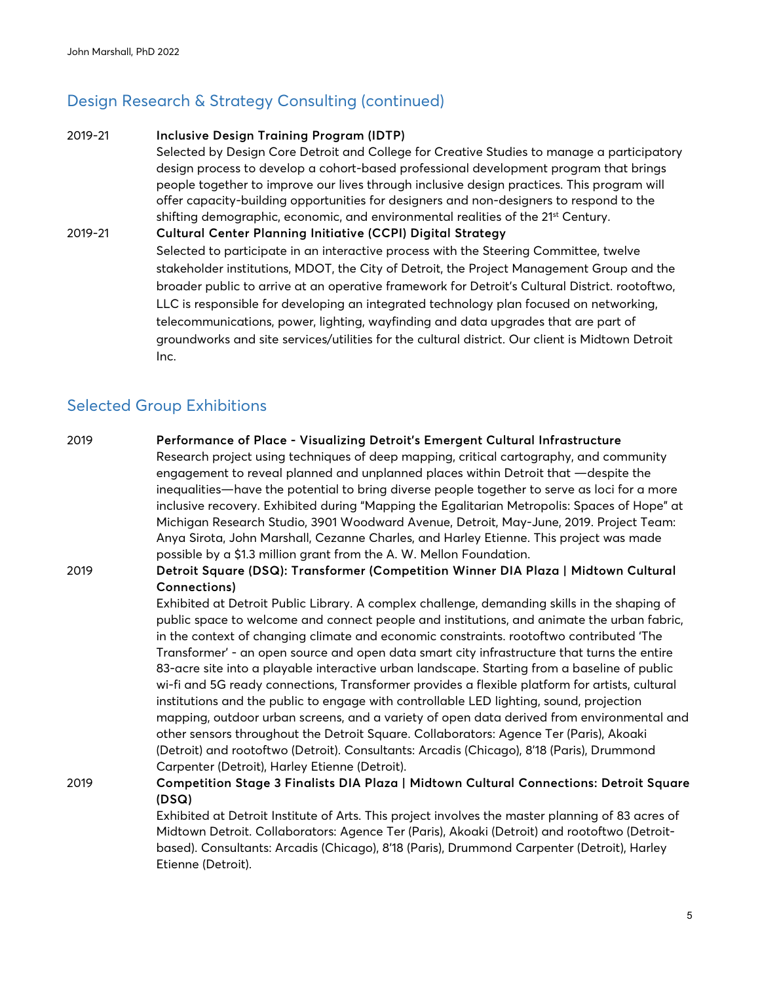### Design Research & Strategy Consulting (continued)

#### 2019-21 **Inclusive Design Training Program (IDTP)**

Selected by Design Core Detroit and College for Creative Studies to manage a participatory design process to develop a cohort-based professional development program that brings people together to improve our lives through inclusive design practices. This program will offer capacity-building opportunities for designers and non-designers to respond to the shifting demographic, economic, and environmental realities of the 21<sup>st</sup> Century.

2019-21 **Cultural Center Planning Initiative (CCPI) Digital Strategy** Selected to participate in an interactive process with the Steering Committee, twelve stakeholder institutions, MDOT, the City of Detroit, the Project Management Group and the broader public to arrive at an operative framework for Detroit's Cultural District. rootoftwo, LLC is responsible for developing an integrated technology plan focused on networking, telecommunications, power, lighting, wayfinding and data upgrades that are part of groundworks and site services/utilities for the cultural district. Our client is Midtown Detroit Inc.

### Selected Group Exhibitions

2019 **Performance of Place - Visualizing Detroit's Emergent Cultural Infrastructure** Research project using techniques of deep mapping, critical cartography, and community engagement to reveal planned and unplanned places within Detroit that —despite the inequalities—have the potential to bring diverse people together to serve as loci for a more inclusive recovery. Exhibited during "Mapping the Egalitarian Metropolis: Spaces of Hope" at Michigan Research Studio, 3901 Woodward Avenue, Detroit, May-June, 2019. Project Team: Anya Sirota, John Marshall, Cezanne Charles, and Harley Etienne. This project was made possible by a \$1.3 million grant from the A. W. Mellon Foundation.

#### 2019 **Detroit Square (DSQ): Transformer (Competition Winner DIA Plaza | Midtown Cultural Connections)**

Exhibited at Detroit Public Library. A complex challenge, demanding skills in the shaping of public space to welcome and connect people and institutions, and animate the urban fabric, in the context of changing climate and economic constraints. rootoftwo contributed 'The Transformer' - an open source and open data smart city infrastructure that turns the entire 83-acre site into a playable interactive urban landscape. Starting from a baseline of public wi-fi and 5G ready connections, Transformer provides a flexible platform for artists, cultural institutions and the public to engage with controllable LED lighting, sound, projection mapping, outdoor urban screens, and a variety of open data derived from environmental and other sensors throughout the Detroit Square. Collaborators: Agence Ter (Paris), Akoaki (Detroit) and rootoftwo (Detroit). Consultants: Arcadis (Chicago), 8'18 (Paris), Drummond Carpenter (Detroit), Harley Etienne (Detroit).

2019 **Competition Stage 3 Finalists DIA Plaza | Midtown Cultural Connections: Detroit Square (DSQ)**

> Exhibited at Detroit Institute of Arts. This project involves the master planning of 83 acres of Midtown Detroit. Collaborators: Agence Ter (Paris), Akoaki (Detroit) and rootoftwo (Detroitbased). Consultants: Arcadis (Chicago), 8'18 (Paris), Drummond Carpenter (Detroit), Harley Etienne (Detroit).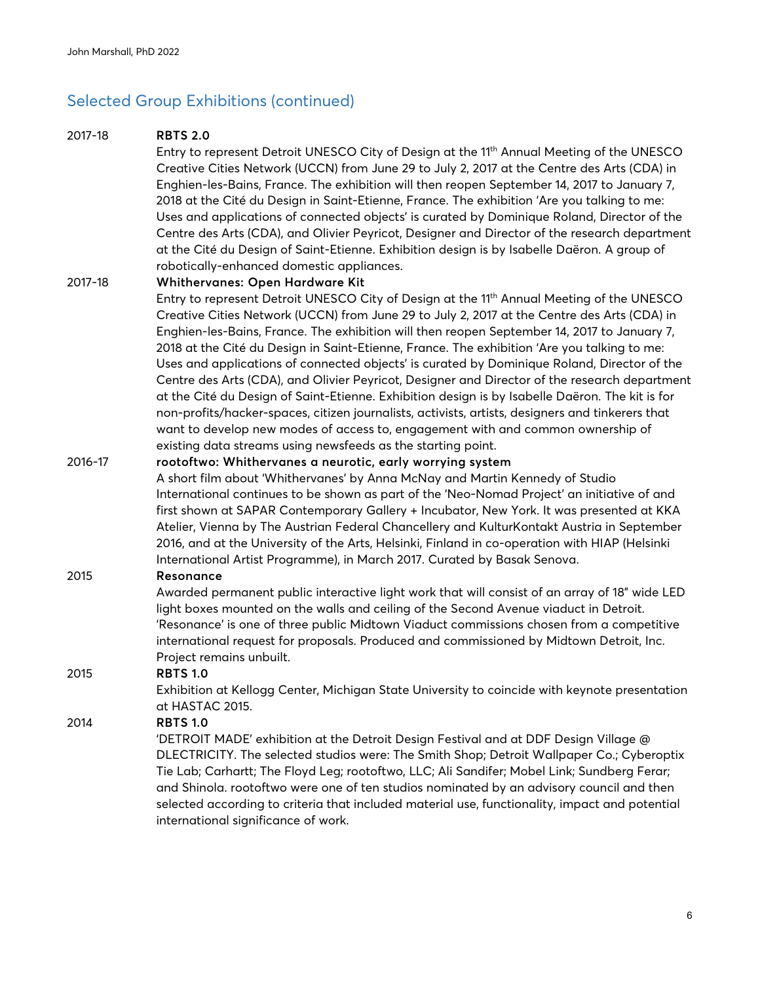### Selected Group Exhibitions (continued)

#### 2017-18 **RBTS 2.0**

Entry to represent Detroit UNESCO City of Design at the 11<sup>th</sup> Annual Meeting of the UNESCO Creative Cities Network (UCCN) from June 29 to July 2, 2017 at the Centre des Arts (CDA) in Enghien-les-Bains, France. The exhibition will then reopen September 14, 2017 to January 7, 2018 at the Cité du Design in Saint-Etienne, France. The exhibition 'Are you talking to me: Uses and applications of connected objects' is curated by Dominique Roland, Director of the Centre des Arts (CDA), and Olivier Peyricot, Designer and Director of the research department at the Cité du Design of Saint-Etienne. Exhibition design is by Isabelle Daëron. A group of robotically-enhanced domestic appliances.

#### 2017-18 **Whithervanes: Open Hardware Kit**

Entry to represent Detroit UNESCO City of Design at the 11th Annual Meeting of the UNESCO Creative Cities Network (UCCN) from June 29 to July 2, 2017 at the Centre des Arts (CDA) in Enghien-les-Bains, France. The exhibition will then reopen September 14, 2017 to January 7, 2018 at the Cité du Design in Saint-Etienne, France. The exhibition 'Are you talking to me: Uses and applications of connected objects' is curated by Dominique Roland, Director of the Centre des Arts (CDA), and Olivier Peyricot, Designer and Director of the research department at the Cité du Design of Saint-Etienne. Exhibition design is by Isabelle Daëron. The kit is for non-profits/hacker-spaces, citizen journalists, activists, artists, designers and tinkerers that want to develop new modes of access to, engagement with and common ownership of existing data streams using newsfeeds as the starting point.

#### 2016-17 **rootoftwo: Whithervanes a neurotic, early worrying system**

A short film about 'Whithervanes' by Anna McNay and Martin Kennedy of Studio International continues to be shown as part of the 'Neo-Nomad Project' an initiative of and first shown at SAPAR Contemporary Gallery + Incubator, New York. It was presented at KKA Atelier, Vienna by The Austrian Federal Chancellery and KulturKontakt Austria in September 2016, and at the University of the Arts, Helsinki, Finland in co-operation with HIAP (Helsinki International Artist Programme), in March 2017. Curated by Basak Senova.

#### 2015 **Resonance**

Awarded permanent public interactive light work that will consist of an array of 18" wide LED light boxes mounted on the walls and ceiling of the Second Avenue viaduct in Detroit. 'Resonance' is one of three public Midtown Viaduct commissions chosen from a competitive international request for proposals. Produced and commissioned by Midtown Detroit, Inc. Project remains unbuilt.

#### 2015 **RBTS 1.0**

Exhibition at Kellogg Center, Michigan State University to coincide with keynote presentation at HASTAC 2015.

#### 2014 **RBTS 1.0**

'DETROIT MADE' exhibition at the Detroit Design Festival and at DDF Design Village @ DLECTRICITY. The selected studios were: The Smith Shop; Detroit Wallpaper Co.; Cyberoptix Tie Lab; Carhartt; The Floyd Leg; rootoftwo, LLC; Ali Sandifer; Mobel Link; Sundberg Ferar; and Shinola. rootoftwo were one of ten studios nominated by an advisory council and then selected according to criteria that included material use, functionality, impact and potential international significance of work.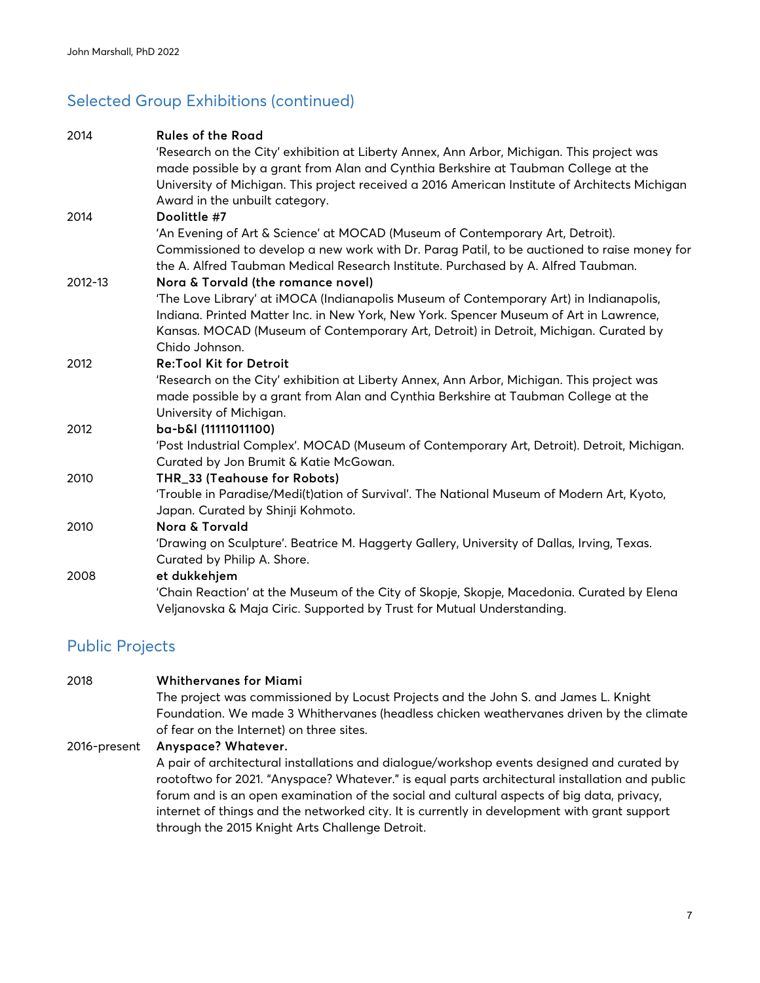# Selected Group Exhibitions (continued)

| 2014    | <b>Rules of the Road</b>                                                                       |
|---------|------------------------------------------------------------------------------------------------|
|         | 'Research on the City' exhibition at Liberty Annex, Ann Arbor, Michigan. This project was      |
|         | made possible by a grant from Alan and Cynthia Berkshire at Taubman College at the             |
|         | University of Michigan. This project received a 2016 American Institute of Architects Michigan |
|         | Award in the unbuilt category.                                                                 |
| 2014    | Doolittle #7                                                                                   |
|         | 'An Evening of Art & Science' at MOCAD (Museum of Contemporary Art, Detroit).                  |
|         | Commissioned to develop a new work with Dr. Parag Patil, to be auctioned to raise money for    |
|         | the A. Alfred Taubman Medical Research Institute. Purchased by A. Alfred Taubman.              |
| 2012-13 | Nora & Torvald (the romance novel)                                                             |
|         | 'The Love Library' at iMOCA (Indianapolis Museum of Contemporary Art) in Indianapolis,         |
|         | Indiana. Printed Matter Inc. in New York, New York. Spencer Museum of Art in Lawrence,         |
|         | Kansas. MOCAD (Museum of Contemporary Art, Detroit) in Detroit, Michigan. Curated by           |
|         | Chido Johnson.                                                                                 |
| 2012    | <b>Re:Tool Kit for Detroit</b>                                                                 |
|         | 'Research on the City' exhibition at Liberty Annex, Ann Arbor, Michigan. This project was      |
|         | made possible by a grant from Alan and Cynthia Berkshire at Taubman College at the             |
|         | University of Michigan.                                                                        |
| 2012    | ba-b&l (11111011100)                                                                           |
|         | 'Post Industrial Complex'. MOCAD (Museum of Contemporary Art, Detroit). Detroit, Michigan.     |
|         | Curated by Jon Brumit & Katie McGowan.                                                         |
| 2010    | THR_33 (Teahouse for Robots)                                                                   |
|         | 'Trouble in Paradise/Medi(t)ation of Survival'. The National Museum of Modern Art, Kyoto,      |
|         | Japan. Curated by Shinji Kohmoto.                                                              |
| 2010    | Nora & Torvald                                                                                 |
|         | 'Drawing on Sculpture'. Beatrice M. Haggerty Gallery, University of Dallas, Irving, Texas.     |
|         | Curated by Philip A. Shore.                                                                    |
| 2008    | et dukkehjem                                                                                   |
|         | 'Chain Reaction' at the Museum of the City of Skopje, Skopje, Macedonia. Curated by Elena      |
|         | Veljanovska & Maja Ciric. Supported by Trust for Mutual Understanding.                         |

# Public Projects

| 2018         | <b>Whithervanes for Miami</b>                                                                                                                                                                                                                                                                                                                                                                                                                |
|--------------|----------------------------------------------------------------------------------------------------------------------------------------------------------------------------------------------------------------------------------------------------------------------------------------------------------------------------------------------------------------------------------------------------------------------------------------------|
|              | The project was commissioned by Locust Projects and the John S. and James L. Knight                                                                                                                                                                                                                                                                                                                                                          |
|              | Foundation. We made 3 Whithervanes (headless chicken weathervanes driven by the climate                                                                                                                                                                                                                                                                                                                                                      |
|              | of fear on the Internet) on three sites.                                                                                                                                                                                                                                                                                                                                                                                                     |
| 2016-present | Anyspace? Whatever.                                                                                                                                                                                                                                                                                                                                                                                                                          |
|              | A pair of architectural installations and dialogue/workshop events designed and curated by<br>rootoftwo for 2021. "Anyspace? Whatever." is equal parts architectural installation and public<br>forum and is an open examination of the social and cultural aspects of big data, privacy,<br>internet of things and the networked city. It is currently in development with grant support<br>through the 2015 Knight Arts Challenge Detroit. |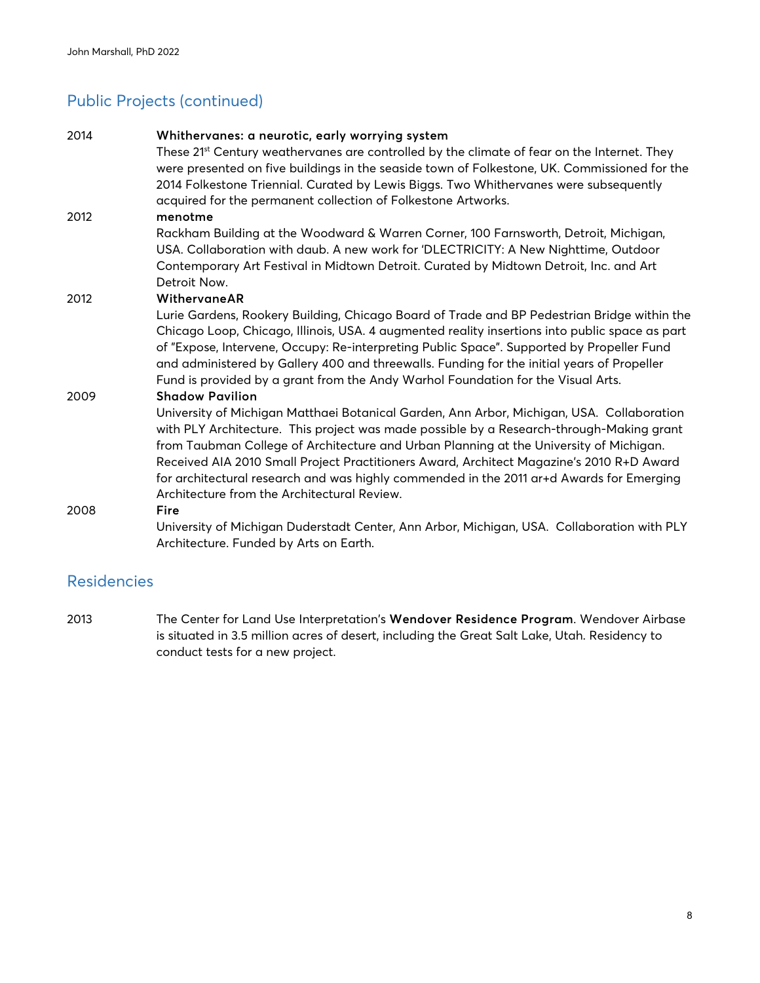### Public Projects (continued)

| 2014 | Whithervanes: a neurotic, early worrying system<br>These 21 <sup>st</sup> Century weathervanes are controlled by the climate of fear on the Internet. They<br>were presented on five buildings in the seaside town of Folkestone, UK. Commissioned for the<br>2014 Folkestone Triennial. Curated by Lewis Biggs. Two Whithervanes were subsequently<br>acquired for the permanent collection of Folkestone Artworks.                                                                                                                             |
|------|--------------------------------------------------------------------------------------------------------------------------------------------------------------------------------------------------------------------------------------------------------------------------------------------------------------------------------------------------------------------------------------------------------------------------------------------------------------------------------------------------------------------------------------------------|
| 2012 | menotme<br>Rackham Building at the Woodward & Warren Corner, 100 Farnsworth, Detroit, Michigan,<br>USA. Collaboration with daub. A new work for 'DLECTRICITY: A New Nighttime, Outdoor<br>Contemporary Art Festival in Midtown Detroit. Curated by Midtown Detroit, Inc. and Art<br>Detroit Now.                                                                                                                                                                                                                                                 |
| 2012 | WithervaneAR<br>Lurie Gardens, Rookery Building, Chicago Board of Trade and BP Pedestrian Bridge within the<br>Chicago Loop, Chicago, Illinois, USA. 4 augmented reality insertions into public space as part<br>of "Expose, Intervene, Occupy: Re-interpreting Public Space". Supported by Propeller Fund<br>and administered by Gallery 400 and threewalls. Funding for the initial years of Propeller<br>Fund is provided by a grant from the Andy Warhol Foundation for the Visual Arts.                                                     |
| 2009 | <b>Shadow Pavilion</b><br>University of Michigan Matthaei Botanical Garden, Ann Arbor, Michigan, USA. Collaboration<br>with PLY Architecture. This project was made possible by a Research-through-Making grant<br>from Taubman College of Architecture and Urban Planning at the University of Michigan.<br>Received AIA 2010 Small Project Practitioners Award, Architect Magazine's 2010 R+D Award<br>for architectural research and was highly commended in the 2011 ar+d Awards for Emerging<br>Architecture from the Architectural Review. |
| 2008 | Fire<br>University of Michigan Duderstadt Center, Ann Arbor, Michigan, USA. Collaboration with PLY<br>Architecture. Funded by Arts on Earth.                                                                                                                                                                                                                                                                                                                                                                                                     |

### Residencies

2013 The Center for Land Use Interpretation's **Wendover Residence Program**. Wendover Airbase is situated in 3.5 million acres of desert, including the Great Salt Lake, Utah. Residency to conduct tests for a new project.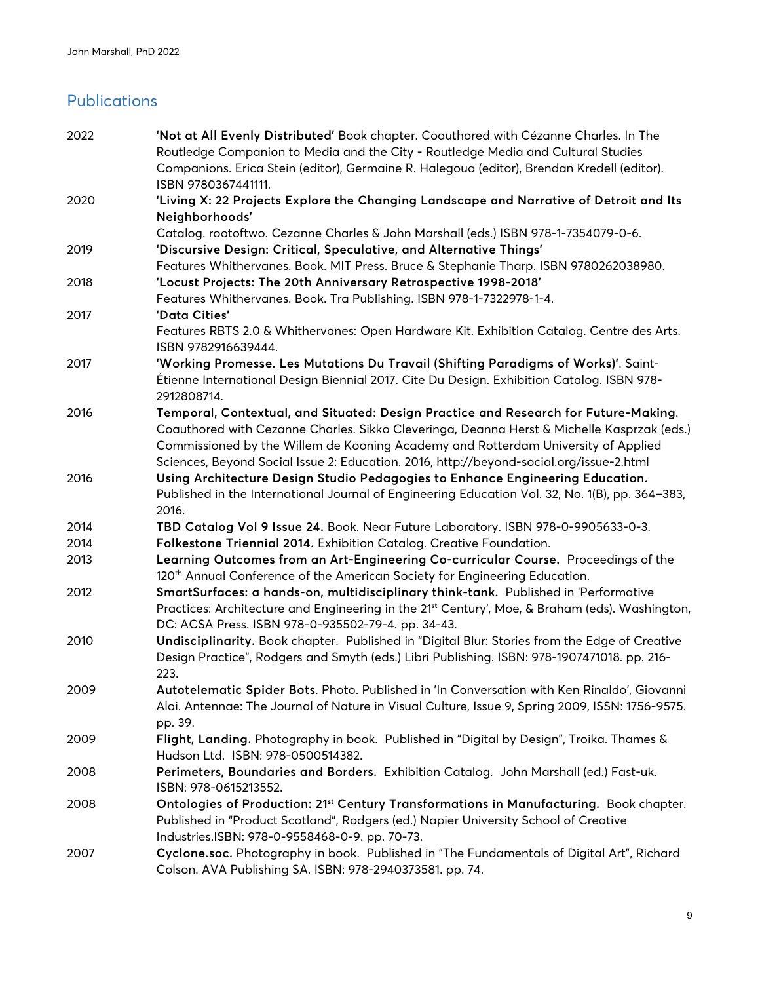# Publications

| 2022 | 'Not at All Evenly Distributed' Book chapter. Coauthored with Cézanne Charles. In The                             |
|------|-------------------------------------------------------------------------------------------------------------------|
|      | Routledge Companion to Media and the City - Routledge Media and Cultural Studies                                  |
|      | Companions. Erica Stein (editor), Germaine R. Halegoua (editor), Brendan Kredell (editor).<br>ISBN 9780367441111. |
| 2020 | 'Living X: 22 Projects Explore the Changing Landscape and Narrative of Detroit and Its                            |
|      | Neighborhoods'                                                                                                    |
|      | Catalog. rootoftwo. Cezanne Charles & John Marshall (eds.) ISBN 978-1-7354079-0-6.                                |
| 2019 | 'Discursive Design: Critical, Speculative, and Alternative Things'                                                |
|      | Features Whithervanes. Book. MIT Press. Bruce & Stephanie Tharp. ISBN 9780262038980.                              |
| 2018 | 'Locust Projects: The 20th Anniversary Retrospective 1998-2018'                                                   |
|      | Features Whithervanes. Book. Tra Publishing. ISBN 978-1-7322978-1-4.                                              |
| 2017 | 'Data Cities'                                                                                                     |
|      | Features RBTS 2.0 & Whithervanes: Open Hardware Kit. Exhibition Catalog. Centre des Arts.<br>ISBN 9782916639444.  |
| 2017 | 'Working Promesse. Les Mutations Du Travail (Shifting Paradigms of Works)'. Saint-                                |
|      | Étienne International Design Biennial 2017. Cite Du Design. Exhibition Catalog. ISBN 978-<br>2912808714.          |
| 2016 | Temporal, Contextual, and Situated: Design Practice and Research for Future-Making.                               |
|      | Coauthored with Cezanne Charles. Sikko Cleveringa, Deanna Herst & Michelle Kasprzak (eds.)                        |
|      | Commissioned by the Willem de Kooning Academy and Rotterdam University of Applied                                 |
|      | Sciences, Beyond Social Issue 2: Education. 2016, http://beyond-social.org/issue-2.html                           |
| 2016 | Using Architecture Design Studio Pedagogies to Enhance Engineering Education.                                     |
|      | Published in the International Journal of Engineering Education Vol. 32, No. 1(B), pp. 364-383,                   |
|      | 2016.                                                                                                             |
| 2014 | TBD Catalog Vol 9 Issue 24. Book. Near Future Laboratory. ISBN 978-0-9905633-0-3.                                 |
| 2014 | Folkestone Triennial 2014. Exhibition Catalog. Creative Foundation.                                               |
| 2013 | Learning Outcomes from an Art-Engineering Co-curricular Course. Proceedings of the                                |
|      | 120 <sup>th</sup> Annual Conference of the American Society for Engineering Education.                            |
| 2012 | SmartSurfaces: a hands-on, multidisciplinary think-tank. Published in 'Performative                               |
|      | Practices: Architecture and Engineering in the 21 <sup>st</sup> Century', Moe, & Braham (eds). Washington,        |
|      | DC: ACSA Press. ISBN 978-0-935502-79-4. pp. 34-43.                                                                |
| 2010 | Undisciplinarity. Book chapter. Published in "Digital Blur: Stories from the Edge of Creative                     |
|      | Design Practice", Rodgers and Smyth (eds.) Libri Publishing. ISBN: 978-1907471018. pp. 216-                       |
|      | 223.                                                                                                              |
| 2009 | Autotelematic Spider Bots. Photo. Published in 'In Conversation with Ken Rinaldo', Giovanni                       |
|      | Aloi. Antennae: The Journal of Nature in Visual Culture, Issue 9, Spring 2009, ISSN: 1756-9575.                   |
|      | pp. 39.                                                                                                           |
| 2009 | Flight, Landing. Photography in book. Published in "Digital by Design", Troika. Thames &                          |
|      | Hudson Ltd. ISBN: 978-0500514382.                                                                                 |
| 2008 | Perimeters, Boundaries and Borders. Exhibition Catalog. John Marshall (ed.) Fast-uk.                              |
|      | ISBN: 978-0615213552.                                                                                             |
| 2008 | Ontologies of Production: 21st Century Transformations in Manufacturing. Book chapter.                            |
|      | Published in "Product Scotland", Rodgers (ed.) Napier University School of Creative                               |
|      | Industries.ISBN: 978-0-9558468-0-9. pp. 70-73.                                                                    |
| 2007 | Cyclone.soc. Photography in book. Published in "The Fundamentals of Digital Art", Richard                         |
|      | Colson. AVA Publishing SA. ISBN: 978-2940373581. pp. 74.                                                          |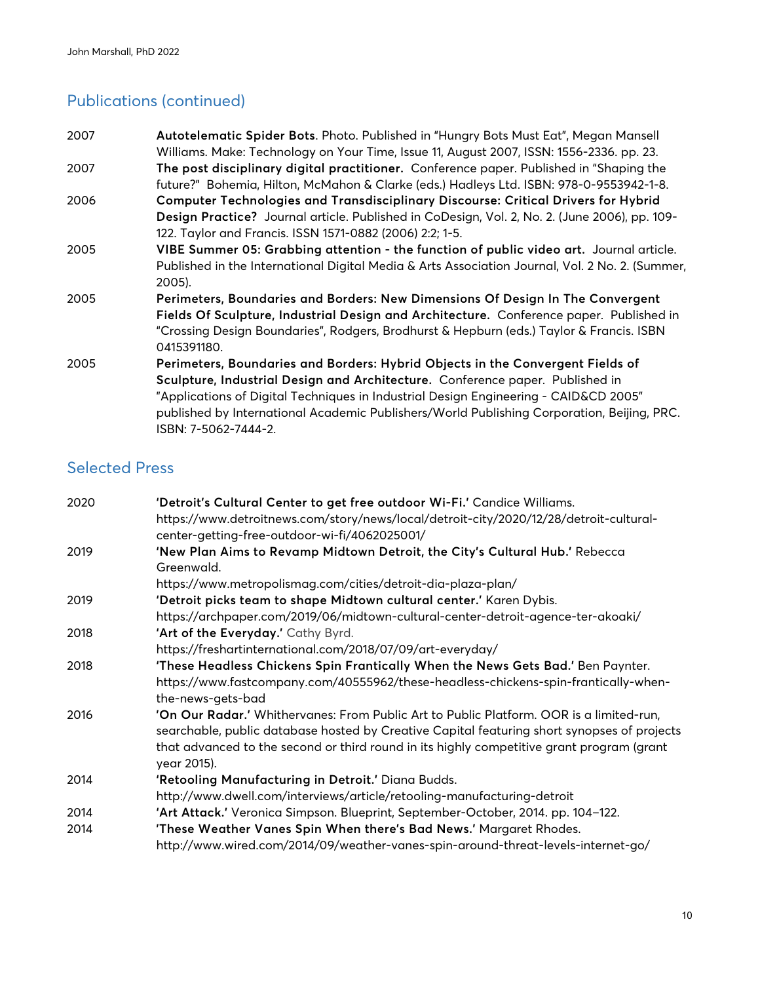# Publications (continued)

| 2007 | Autotelematic Spider Bots. Photo. Published in "Hungry Bots Must Eat", Megan Mansell            |
|------|-------------------------------------------------------------------------------------------------|
|      | Williams. Make: Technology on Your Time, Issue 11, August 2007, ISSN: 1556-2336. pp. 23.        |
| 2007 | The post disciplinary digital practitioner. Conference paper. Published in "Shaping the         |
|      | future?" Bohemia, Hilton, McMahon & Clarke (eds.) Hadleys Ltd. ISBN: 978-0-9553942-1-8.         |
| 2006 | Computer Technologies and Transdisciplinary Discourse: Critical Drivers for Hybrid              |
|      | Design Practice? Journal article. Published in CoDesign, Vol. 2, No. 2. (June 2006), pp. 109-   |
|      | 122. Taylor and Francis. ISSN 1571-0882 (2006) 2:2; 1-5.                                        |
| 2005 | VIBE Summer 05: Grabbing attention - the function of public video art. Journal article.         |
|      | Published in the International Digital Media & Arts Association Journal, Vol. 2 No. 2. (Summer, |
|      | 2005).                                                                                          |
| 2005 | Perimeters, Boundaries and Borders: New Dimensions Of Design In The Convergent                  |
|      | Fields Of Sculpture, Industrial Design and Architecture. Conference paper. Published in         |
|      | "Crossing Design Boundaries", Rodgers, Brodhurst & Hepburn (eds.) Taylor & Francis. ISBN        |
|      | 0415391180.                                                                                     |
| 2005 | Perimeters, Boundaries and Borders: Hybrid Objects in the Convergent Fields of                  |
|      | Sculpture, Industrial Design and Architecture. Conference paper. Published in                   |
|      | "Applications of Digital Techniques in Industrial Design Engineering - CAID&CD 2005"            |
|      | published by International Academic Publishers/World Publishing Corporation, Beijing, PRC.      |
|      | ISBN: 7-5062-7444-2.                                                                            |

### Selected Press

| 2020 | 'Detroit's Cultural Center to get free outdoor Wi-Fi.' Candice Williams.                    |
|------|---------------------------------------------------------------------------------------------|
|      | https://www.detroitnews.com/story/news/local/detroit-city/2020/12/28/detroit-cultural-      |
|      | center-getting-free-outdoor-wi-fi/4062025001/                                               |
| 2019 | 'New Plan Aims to Revamp Midtown Detroit, the City's Cultural Hub.' Rebecca                 |
|      | Greenwald.                                                                                  |
|      | https://www.metropolismag.com/cities/detroit-dia-plaza-plan/                                |
| 2019 | 'Detroit picks team to shape Midtown cultural center.' Karen Dybis.                         |
|      | https://archpaper.com/2019/06/midtown-cultural-center-detroit-agence-ter-akoaki/            |
| 2018 | 'Art of the Everyday.' Cathy Byrd.                                                          |
|      | https://freshartinternational.com/2018/07/09/art-everyday/                                  |
| 2018 | 'These Headless Chickens Spin Frantically When the News Gets Bad.' Ben Paynter.             |
|      | https://www.fastcompany.com/40555962/these-headless-chickens-spin-frantically-when-         |
|      | the-news-gets-bad                                                                           |
| 2016 | 'On Our Radar.' Whithervanes: From Public Art to Public Platform. OOR is a limited-run,     |
|      | searchable, public database hosted by Creative Capital featuring short synopses of projects |
|      | that advanced to the second or third round in its highly competitive grant program (grant   |
|      | year 2015).                                                                                 |
| 2014 | 'Retooling Manufacturing in Detroit.' Diana Budds.                                          |
|      | http://www.dwell.com/interviews/article/retooling-manufacturing-detroit                     |
| 2014 | 'Art Attack.' Veronica Simpson. Blueprint, September-October, 2014. pp. 104-122.            |
| 2014 | 'These Weather Vanes Spin When there's Bad News.' Margaret Rhodes.                          |
|      | http://www.wired.com/2014/09/weather-vanes-spin-around-threat-levels-internet-go/           |
|      |                                                                                             |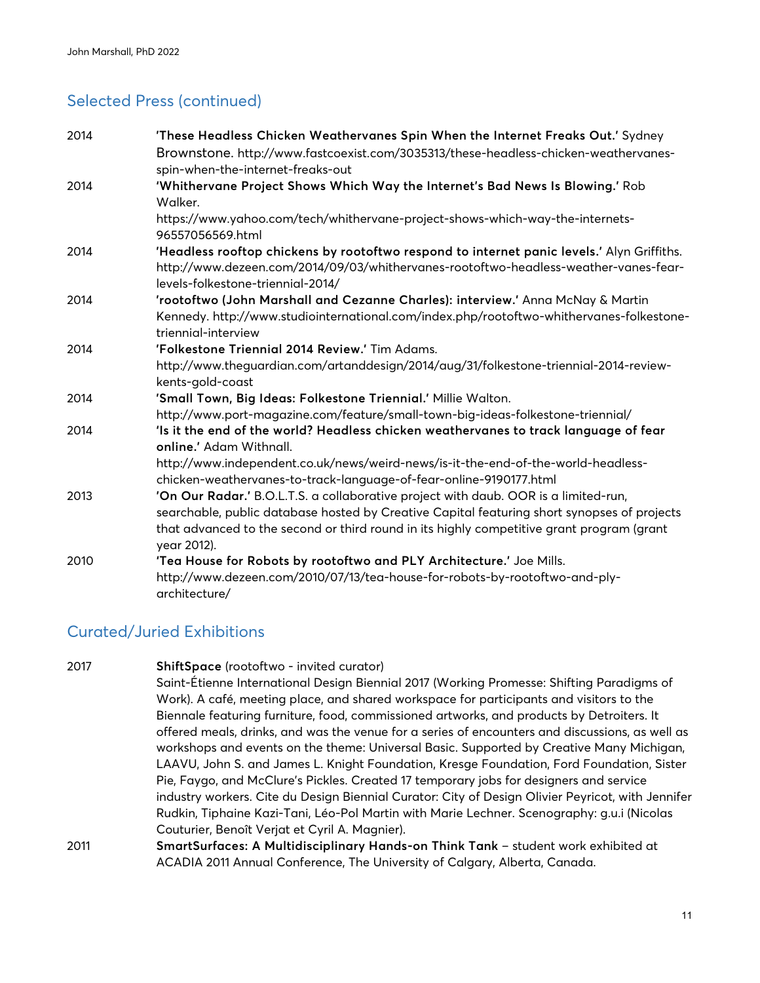# Selected Press (continued)

| 2014 | 'These Headless Chicken Weathervanes Spin When the Internet Freaks Out.' Sydney                                                                         |
|------|---------------------------------------------------------------------------------------------------------------------------------------------------------|
|      | Brownstone. http://www.fastcoexist.com/3035313/these-headless-chicken-weathervanes-                                                                     |
|      | spin-when-the-internet-freaks-out                                                                                                                       |
| 2014 | 'Whithervane Project Shows Which Way the Internet's Bad News Is Blowing.' Rob                                                                           |
|      | Walker.                                                                                                                                                 |
|      | https://www.yahoo.com/tech/whithervane-project-shows-which-way-the-internets-<br>96557056569.html                                                       |
| 2014 | 'Headless rooftop chickens by rootoftwo respond to internet panic levels.' Alyn Griffiths.                                                              |
|      | http://www.dezeen.com/2014/09/03/whithervanes-rootoftwo-headless-weather-vanes-fear-<br>levels-folkestone-triennial-2014/                               |
| 2014 | 'rootoftwo (John Marshall and Cezanne Charles): interview.' Anna McNay & Martin                                                                         |
|      | Kennedy. http://www.studiointernational.com/index.php/rootoftwo-whithervanes-folkestone-<br>triennial-interview                                         |
| 2014 | 'Folkestone Triennial 2014 Review.' Tim Adams.                                                                                                          |
|      | http://www.theguardian.com/artanddesign/2014/aug/31/folkestone-triennial-2014-review-<br>kents-gold-coast                                               |
| 2014 | 'Small Town, Big Ideas: Folkestone Triennial.' Millie Walton.                                                                                           |
|      | http://www.port-magazine.com/feature/small-town-big-ideas-folkestone-triennial/                                                                         |
| 2014 | 'Is it the end of the world? Headless chicken weathervanes to track language of fear<br>online.' Adam Withnall.                                         |
|      | http://www.independent.co.uk/news/weird-news/is-it-the-end-of-the-world-headless-<br>chicken-weathervanes-to-track-language-of-fear-online-9190177.html |
| 2013 | 'On Our Radar.' B.O.L.T.S. a collaborative project with daub. OOR is a limited-run,                                                                     |
|      | searchable, public database hosted by Creative Capital featuring short synopses of projects                                                             |
|      | that advanced to the second or third round in its highly competitive grant program (grant<br>year 2012).                                                |
| 2010 | 'Tea House for Robots by rootoftwo and PLY Architecture.' Joe Mills.                                                                                    |
|      | http://www.dezeen.com/2010/07/13/tea-house-for-robots-by-rootoftwo-and-ply-<br>architecture/                                                            |

### Curated/Juried Exhibitions

| 2017 | ShiftSpace (rootoftwo - invited curator)                                                          |
|------|---------------------------------------------------------------------------------------------------|
|      | Saint-Étienne International Design Biennial 2017 (Working Promesse: Shifting Paradigms of         |
|      | Work). A café, meeting place, and shared workspace for participants and visitors to the           |
|      | Biennale featuring furniture, food, commissioned artworks, and products by Detroiters. It         |
|      | offered meals, drinks, and was the venue for a series of encounters and discussions, as well as   |
|      | workshops and events on the theme: Universal Basic. Supported by Creative Many Michigan,          |
|      | LAAVU, John S. and James L. Knight Foundation, Kresge Foundation, Ford Foundation, Sister         |
|      | Pie, Faygo, and McClure's Pickles. Created 17 temporary jobs for designers and service            |
|      | industry workers. Cite du Design Biennial Curator: City of Design Olivier Peyricot, with Jennifer |
|      | Rudkin, Tiphaine Kazi-Tani, Léo-Pol Martin with Marie Lechner. Scenography: g.u.i (Nicolas        |
|      | Couturier, Benoît Verjat et Cyril A. Magnier).                                                    |
| 2011 | SmartSurfaces: A Multidisciplinary Hands-on Think Tank - student work exhibited at                |
|      | ACADIA 2011 Annual Conference, The University of Calgary, Alberta, Canada.                        |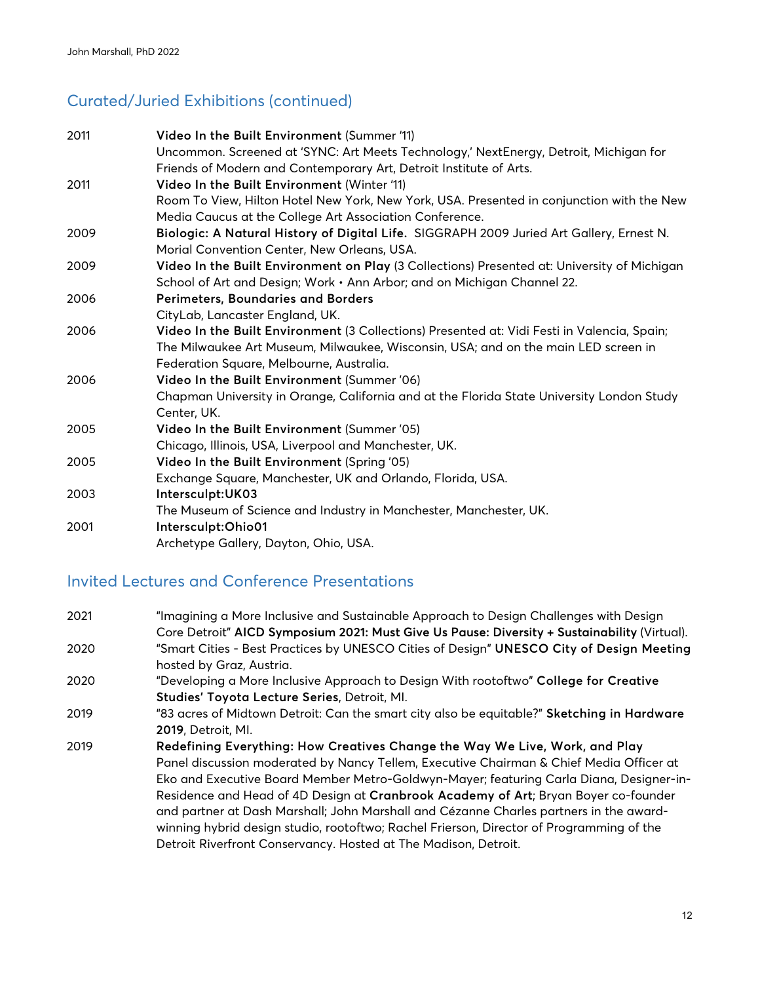# Curated/Juried Exhibitions (continued)

| 2011 | Video In the Built Environment (Summer '11)                                                 |
|------|---------------------------------------------------------------------------------------------|
|      | Uncommon. Screened at 'SYNC: Art Meets Technology,' NextEnergy, Detroit, Michigan for       |
|      | Friends of Modern and Contemporary Art, Detroit Institute of Arts.                          |
| 2011 | Video In the Built Environment (Winter '11)                                                 |
|      | Room To View, Hilton Hotel New York, New York, USA. Presented in conjunction with the New   |
|      | Media Caucus at the College Art Association Conference.                                     |
| 2009 | Biologic: A Natural History of Digital Life. SIGGRAPH 2009 Juried Art Gallery, Ernest N.    |
|      | Morial Convention Center, New Orleans, USA.                                                 |
| 2009 | Video In the Built Environment on Play (3 Collections) Presented at: University of Michigan |
|      | School of Art and Design; Work · Ann Arbor; and on Michigan Channel 22.                     |
| 2006 | Perimeters, Boundaries and Borders                                                          |
|      | CityLab, Lancaster England, UK.                                                             |
| 2006 | Video In the Built Environment (3 Collections) Presented at: Vidi Festi in Valencia, Spain; |
|      | The Milwaukee Art Museum, Milwaukee, Wisconsin, USA; and on the main LED screen in          |
|      | Federation Square, Melbourne, Australia.                                                    |
| 2006 | Video In the Built Environment (Summer '06)                                                 |
|      | Chapman University in Orange, California and at the Florida State University London Study   |
|      | Center, UK.                                                                                 |
| 2005 | Video In the Built Environment (Summer '05)                                                 |
|      | Chicago, Illinois, USA, Liverpool and Manchester, UK.                                       |
| 2005 | Video In the Built Environment (Spring '05)                                                 |
|      | Exchange Square, Manchester, UK and Orlando, Florida, USA.                                  |
| 2003 | Intersculpt: UK03                                                                           |
|      | The Museum of Science and Industry in Manchester, Manchester, UK.                           |
| 2001 | Intersculpt: Ohio01                                                                         |
|      | Archetype Gallery, Dayton, Ohio, USA.                                                       |

## Invited Lectures and Conference Presentations

| 2021 | "Imagining a More Inclusive and Sustainable Approach to Design Challenges with Design        |
|------|----------------------------------------------------------------------------------------------|
|      | Core Detroit" AICD Symposium 2021: Must Give Us Pause: Diversity + Sustainability (Virtual). |
| 2020 | "Smart Cities - Best Practices by UNESCO Cities of Design" UNESCO City of Design Meeting     |
|      | hosted by Graz, Austria.                                                                     |
| 2020 | "Developing a More Inclusive Approach to Design With rootoftwo" College for Creative         |
|      | Studies' Toyota Lecture Series, Detroit, MI.                                                 |
| 2019 | "83 acres of Midtown Detroit: Can the smart city also be equitable?" Sketching in Hardware   |
|      | 2019, Detroit, Ml.                                                                           |
| 2019 | Redefining Everything: How Creatives Change the Way We Live, Work, and Play                  |
|      | Panel discussion moderated by Nancy Tellem, Executive Chairman & Chief Media Officer at      |
|      | Eko and Executive Board Member Metro-Goldwyn-Mayer; featuring Carla Diana, Designer-in-      |
|      | Residence and Head of 4D Design at Cranbrook Academy of Art; Bryan Boyer co-founder          |
|      | and partner at Dash Marshall; John Marshall and Cézanne Charles partners in the award-       |
|      | winning hybrid design studio, rootoftwo; Rachel Frierson, Director of Programming of the     |
|      | Detroit Riverfront Conservancy. Hosted at The Madison, Detroit.                              |
|      |                                                                                              |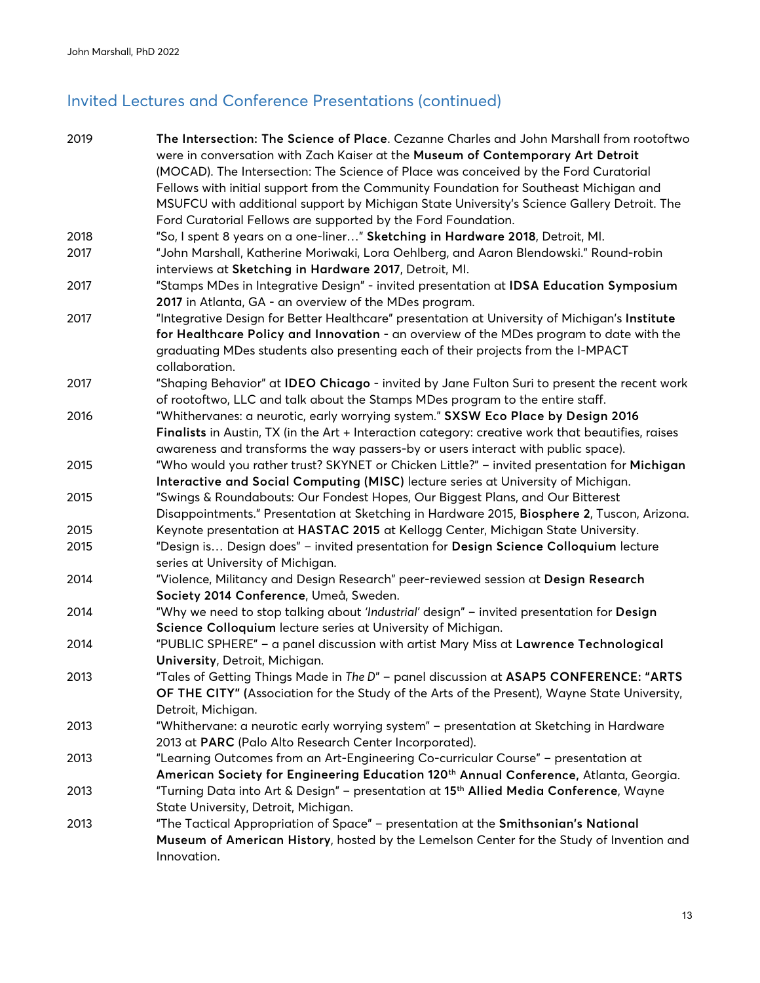# Invited Lectures and Conference Presentations (continued)

| 2019 | The Intersection: The Science of Place. Cezanne Charles and John Marshall from rootoftwo<br>were in conversation with Zach Kaiser at the Museum of Contemporary Art Detroit |
|------|-----------------------------------------------------------------------------------------------------------------------------------------------------------------------------|
|      | (MOCAD). The Intersection: The Science of Place was conceived by the Ford Curatorial                                                                                        |
|      | Fellows with initial support from the Community Foundation for Southeast Michigan and                                                                                       |
|      | MSUFCU with additional support by Michigan State University's Science Gallery Detroit. The                                                                                  |
|      | Ford Curatorial Fellows are supported by the Ford Foundation.                                                                                                               |
| 2018 | "So, I spent 8 years on a one-liner" Sketching in Hardware 2018, Detroit, MI.                                                                                               |
| 2017 | "John Marshall, Katherine Moriwaki, Lora Oehlberg, and Aaron Blendowski." Round-robin                                                                                       |
|      | interviews at Sketching in Hardware 2017, Detroit, MI.                                                                                                                      |
| 2017 | "Stamps MDes in Integrative Design" - invited presentation at IDSA Education Symposium                                                                                      |
|      | 2017 in Atlanta, GA - an overview of the MDes program.                                                                                                                      |
| 2017 | "Integrative Design for Better Healthcare" presentation at University of Michigan's Institute                                                                               |
|      | for Healthcare Policy and Innovation - an overview of the MDes program to date with the                                                                                     |
|      | graduating MDes students also presenting each of their projects from the I-MPACT                                                                                            |
|      | collaboration.                                                                                                                                                              |
| 2017 | "Shaping Behavior" at IDEO Chicago - invited by Jane Fulton Suri to present the recent work                                                                                 |
|      | of rootoftwo, LLC and talk about the Stamps MDes program to the entire staff.                                                                                               |
| 2016 | "Whithervanes: a neurotic, early worrying system." SXSW Eco Place by Design 2016                                                                                            |
|      | Finalists in Austin, TX (in the Art + Interaction category: creative work that beautifies, raises                                                                           |
|      | awareness and transforms the way passers-by or users interact with public space).                                                                                           |
| 2015 | "Who would you rather trust? SKYNET or Chicken Little?" - invited presentation for Michigan                                                                                 |
|      | Interactive and Social Computing (MISC) lecture series at University of Michigan.                                                                                           |
| 2015 | "Swings & Roundabouts: Our Fondest Hopes, Our Biggest Plans, and Our Bitterest                                                                                              |
|      | Disappointments." Presentation at Sketching in Hardware 2015, Biosphere 2, Tuscon, Arizona.                                                                                 |
| 2015 | Keynote presentation at HASTAC 2015 at Kellogg Center, Michigan State University.                                                                                           |
| 2015 | "Design is Design does" - invited presentation for Design Science Colloquium lecture<br>series at University of Michigan.                                                   |
| 2014 | "Violence, Militancy and Design Research" peer-reviewed session at Design Research                                                                                          |
|      | Society 2014 Conference, Umeå, Sweden.                                                                                                                                      |
| 2014 | "Why we need to stop talking about 'Industrial' design" - invited presentation for Design                                                                                   |
|      | Science Colloquium lecture series at University of Michigan.                                                                                                                |
| 2014 | "PUBLIC SPHERE" - a panel discussion with artist Mary Miss at Lawrence Technological                                                                                        |
|      | University, Detroit, Michigan.                                                                                                                                              |
| 2013 | "Tales of Getting Things Made in The D" - panel discussion at ASAP5 CONFERENCE: "ARTS                                                                                       |
|      | OF THE CITY" (Association for the Study of the Arts of the Present), Wayne State University,                                                                                |
|      | Detroit, Michigan.                                                                                                                                                          |
| 2013 | "Whithervane: a neurotic early worrying system" - presentation at Sketching in Hardware                                                                                     |
|      | 2013 at PARC (Palo Alto Research Center Incorporated).                                                                                                                      |
| 2013 | "Learning Outcomes from an Art-Engineering Co-curricular Course" - presentation at                                                                                          |
|      | American Society for Engineering Education 120th Annual Conference, Atlanta, Georgia.                                                                                       |
| 2013 | "Turning Data into Art & Design" - presentation at 15 <sup>th</sup> Allied Media Conference, Wayne                                                                          |
|      | State University, Detroit, Michigan.                                                                                                                                        |
| 2013 | "The Tactical Appropriation of Space" - presentation at the Smithsonian's National                                                                                          |
|      | Museum of American History, hosted by the Lemelson Center for the Study of Invention and                                                                                    |
|      | Innovation.                                                                                                                                                                 |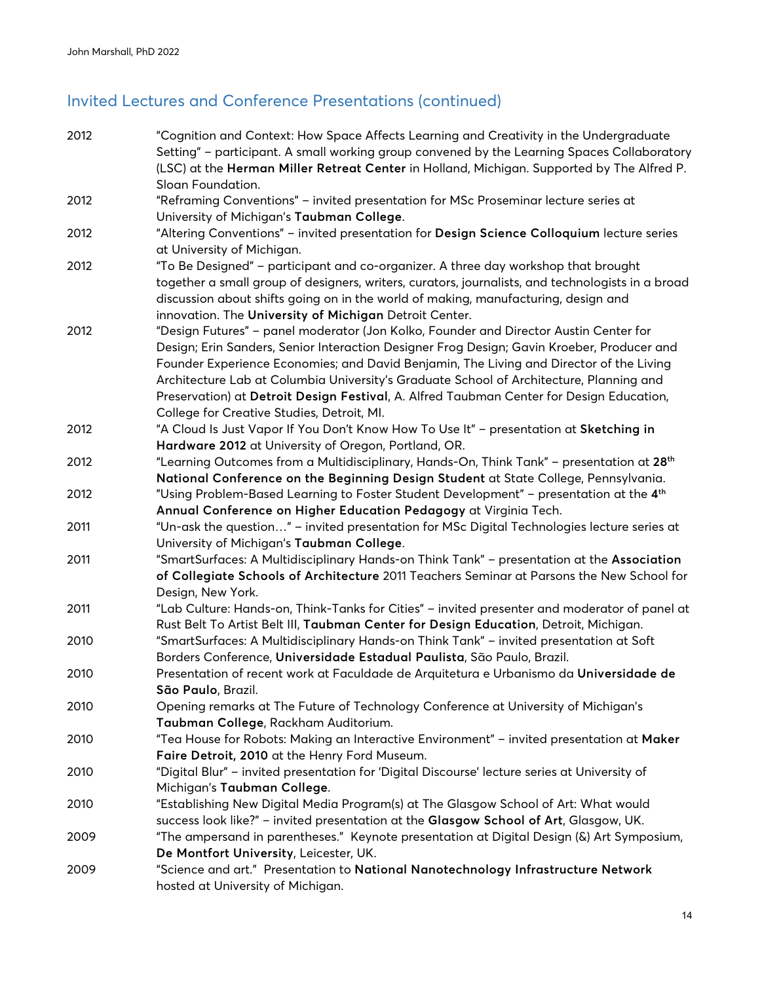# Invited Lectures and Conference Presentations (continued)

| 2012 | "Cognition and Context: How Space Affects Learning and Creativity in the Undergraduate                                                                                                  |
|------|-----------------------------------------------------------------------------------------------------------------------------------------------------------------------------------------|
|      | Setting" - participant. A small working group convened by the Learning Spaces Collaboratory                                                                                             |
|      | (LSC) at the Herman Miller Retreat Center in Holland, Michigan. Supported by The Alfred P.                                                                                              |
|      | Sloan Foundation.                                                                                                                                                                       |
| 2012 | "Reframing Conventions" - invited presentation for MSc Proseminar lecture series at                                                                                                     |
|      | University of Michigan's Taubman College.                                                                                                                                               |
| 2012 | "Altering Conventions" - invited presentation for Design Science Colloquium lecture series<br>at University of Michigan.                                                                |
| 2012 | "To Be Designed" - participant and co-organizer. A three day workshop that brought                                                                                                      |
|      | together a small group of designers, writers, curators, journalists, and technologists in a broad<br>discussion about shifts going on in the world of making, manufacturing, design and |
|      | innovation. The University of Michigan Detroit Center.                                                                                                                                  |
| 2012 | "Design Futures" - panel moderator (Jon Kolko, Founder and Director Austin Center for                                                                                                   |
|      | Design; Erin Sanders, Senior Interaction Designer Frog Design; Gavin Kroeber, Producer and                                                                                              |
|      | Founder Experience Economies; and David Benjamin, The Living and Director of the Living                                                                                                 |
|      | Architecture Lab at Columbia University's Graduate School of Architecture, Planning and                                                                                                 |
|      | Preservation) at Detroit Design Festival, A. Alfred Taubman Center for Design Education,                                                                                                |
|      | College for Creative Studies, Detroit, MI.                                                                                                                                              |
| 2012 | "A Cloud Is Just Vapor If You Don't Know How To Use It" - presentation at Sketching in                                                                                                  |
|      | Hardware 2012 at University of Oregon, Portland, OR.                                                                                                                                    |
| 2012 | "Learning Outcomes from a Multidisciplinary, Hands-On, Think Tank" - presentation at 28 <sup>th</sup>                                                                                   |
|      | National Conference on the Beginning Design Student at State College, Pennsylvania.                                                                                                     |
| 2012 | "Using Problem-Based Learning to Foster Student Development" - presentation at the 4 <sup>th</sup>                                                                                      |
|      | Annual Conference on Higher Education Pedagogy at Virginia Tech.                                                                                                                        |
| 2011 | "Un-ask the question" - invited presentation for MSc Digital Technologies lecture series at                                                                                             |
|      | University of Michigan's Taubman College.                                                                                                                                               |
| 2011 | "SmartSurfaces: A Multidisciplinary Hands-on Think Tank" - presentation at the Association                                                                                              |
|      | of Collegiate Schools of Architecture 2011 Teachers Seminar at Parsons the New School for                                                                                               |
|      | Design, New York.                                                                                                                                                                       |
| 2011 | "Lab Culture: Hands-on, Think-Tanks for Cities" - invited presenter and moderator of panel at                                                                                           |
|      | Rust Belt To Artist Belt III, Taubman Center for Design Education, Detroit, Michigan.                                                                                                   |
| 2010 | "SmartSurfaces: A Multidisciplinary Hands-on Think Tank" - invited presentation at Soft                                                                                                 |
|      | Borders Conference, Universidade Estadual Paulista, São Paulo, Brazil.                                                                                                                  |
| 2010 | Presentation of recent work at Faculdade de Arquitetura e Urbanismo da Universidade de                                                                                                  |
|      | São Paulo, Brazil.                                                                                                                                                                      |
| 2010 | Opening remarks at The Future of Technology Conference at University of Michigan's                                                                                                      |
|      | Taubman College, Rackham Auditorium.                                                                                                                                                    |
| 2010 | "Tea House for Robots: Making an Interactive Environment" - invited presentation at Maker                                                                                               |
|      | Faire Detroit, 2010 at the Henry Ford Museum.                                                                                                                                           |
| 2010 | "Digital Blur" - invited presentation for 'Digital Discourse' lecture series at University of                                                                                           |
|      | Michigan's Taubman College.                                                                                                                                                             |
| 2010 | "Establishing New Digital Media Program(s) at The Glasgow School of Art: What would                                                                                                     |
|      | success look like?" - invited presentation at the Glasgow School of Art, Glasgow, UK.                                                                                                   |
| 2009 | "The ampersand in parentheses." Keynote presentation at Digital Design (&) Art Symposium,                                                                                               |
|      | De Montfort University, Leicester, UK.                                                                                                                                                  |
| 2009 | "Science and art." Presentation to National Nanotechnology Infrastructure Network                                                                                                       |
|      | hosted at University of Michigan.                                                                                                                                                       |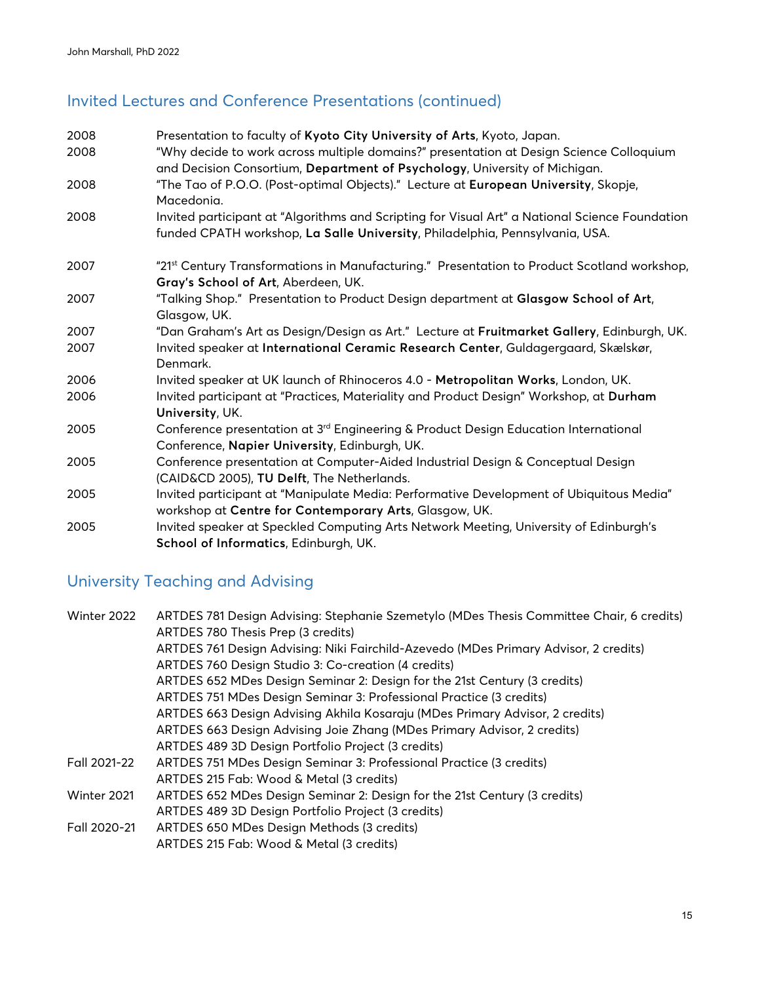# Invited Lectures and Conference Presentations (continued)

| 2008 | Presentation to faculty of Kyoto City University of Arts, Kyoto, Japan.                                                                                                        |
|------|--------------------------------------------------------------------------------------------------------------------------------------------------------------------------------|
| 2008 | "Why decide to work across multiple domains?" presentation at Design Science Colloquium<br>and Decision Consortium, Department of Psychology, University of Michigan.          |
| 2008 | "The Tao of P.O.O. (Post-optimal Objects)." Lecture at European University, Skopje,<br>Macedonia.                                                                              |
| 2008 | Invited participant at "Algorithms and Scripting for Visual Art" a National Science Foundation<br>funded CPATH workshop, La Salle University, Philadelphia, Pennsylvania, USA. |
| 2007 | "21st Century Transformations in Manufacturing." Presentation to Product Scotland workshop,<br>Gray's School of Art, Aberdeen, UK.                                             |
| 2007 | "Talking Shop." Presentation to Product Design department at Glasgow School of Art,<br>Glasgow, UK.                                                                            |
| 2007 | "Dan Graham's Art as Design/Design as Art." Lecture at Fruitmarket Gallery, Edinburgh, UK.                                                                                     |
| 2007 | Invited speaker at International Ceramic Research Center, Guldagergaard, Skælskør,<br>Denmark.                                                                                 |
| 2006 | Invited speaker at UK launch of Rhinoceros 4.0 - Metropolitan Works, London, UK.                                                                                               |
| 2006 | Invited participant at "Practices, Materiality and Product Design" Workshop, at Durham<br>University, UK.                                                                      |
| 2005 | Conference presentation at 3 <sup>rd</sup> Engineering & Product Design Education International<br>Conference, Napier University, Edinburgh, UK.                               |
| 2005 | Conference presentation at Computer-Aided Industrial Design & Conceptual Design<br>(CAID&CD 2005), TU Delft, The Netherlands.                                                  |
| 2005 | Invited participant at "Manipulate Media: Performative Development of Ubiquitous Media"<br>workshop at Centre for Contemporary Arts, Glasgow, UK.                              |
| 2005 | Invited speaker at Speckled Computing Arts Network Meeting, University of Edinburgh's<br>School of Informatics, Edinburgh, UK.                                                 |

# University Teaching and Advising

| Winter 2022  | ARTDES 781 Design Advising: Stephanie Szemetylo (MDes Thesis Committee Chair, 6 credits) |
|--------------|------------------------------------------------------------------------------------------|
|              | ARTDES 780 Thesis Prep (3 credits)                                                       |
|              | ARTDES 761 Design Advising: Niki Fairchild-Azevedo (MDes Primary Advisor, 2 credits)     |
|              | ARTDES 760 Design Studio 3: Co-creation (4 credits)                                      |
|              | ARTDES 652 MDes Design Seminar 2: Design for the 21st Century (3 credits)                |
|              | ARTDES 751 MDes Design Seminar 3: Professional Practice (3 credits)                      |
|              | ARTDES 663 Design Advising Akhila Kosaraju (MDes Primary Advisor, 2 credits)             |
|              | ARTDES 663 Design Advising Joie Zhang (MDes Primary Advisor, 2 credits)                  |
|              | ARTDES 489 3D Design Portfolio Project (3 credits)                                       |
| Fall 2021-22 | ARTDES 751 MDes Design Seminar 3: Professional Practice (3 credits)                      |
|              | ARTDES 215 Fab: Wood & Metal (3 credits)                                                 |
| Winter 2021  | ARTDES 652 MDes Design Seminar 2: Design for the 21st Century (3 credits)                |
|              | ARTDES 489 3D Design Portfolio Project (3 credits)                                       |
| Fall 2020-21 | ARTDES 650 MDes Design Methods (3 credits)                                               |
|              | ARTDES 215 Fab: Wood & Metal (3 credits)                                                 |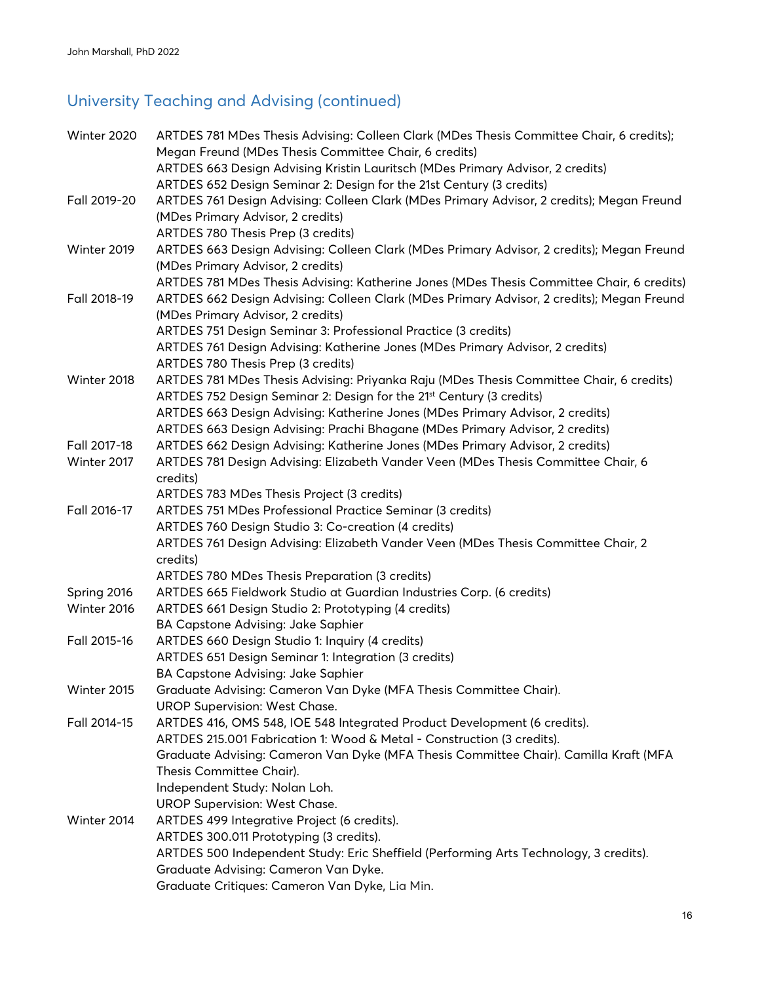# University Teaching and Advising (continued)

| Winter 2020  | ARTDES 781 MDes Thesis Advising: Colleen Clark (MDes Thesis Committee Chair, 6 credits);  |
|--------------|-------------------------------------------------------------------------------------------|
|              | Megan Freund (MDes Thesis Committee Chair, 6 credits)                                     |
|              | ARTDES 663 Design Advising Kristin Lauritsch (MDes Primary Advisor, 2 credits)            |
|              | ARTDES 652 Design Seminar 2: Design for the 21st Century (3 credits)                      |
| Fall 2019-20 | ARTDES 761 Design Advising: Colleen Clark (MDes Primary Advisor, 2 credits); Megan Freund |
|              | (MDes Primary Advisor, 2 credits)                                                         |
|              | ARTDES 780 Thesis Prep (3 credits)                                                        |
| Winter 2019  | ARTDES 663 Design Advising: Colleen Clark (MDes Primary Advisor, 2 credits); Megan Freund |
|              | (MDes Primary Advisor, 2 credits)                                                         |
|              | ARTDES 781 MDes Thesis Advising: Katherine Jones (MDes Thesis Committee Chair, 6 credits) |
| Fall 2018-19 | ARTDES 662 Design Advising: Colleen Clark (MDes Primary Advisor, 2 credits); Megan Freund |
|              | (MDes Primary Advisor, 2 credits)                                                         |
|              | ARTDES 751 Design Seminar 3: Professional Practice (3 credits)                            |
|              | ARTDES 761 Design Advising: Katherine Jones (MDes Primary Advisor, 2 credits)             |
|              | ARTDES 780 Thesis Prep (3 credits)                                                        |
| Winter 2018  | ARTDES 781 MDes Thesis Advising: Priyanka Raju (MDes Thesis Committee Chair, 6 credits)   |
|              | ARTDES 752 Design Seminar 2: Design for the 21 <sup>st</sup> Century (3 credits)          |
|              | ARTDES 663 Design Advising: Katherine Jones (MDes Primary Advisor, 2 credits)             |
|              | ARTDES 663 Design Advising: Prachi Bhagane (MDes Primary Advisor, 2 credits)              |
| Fall 2017-18 | ARTDES 662 Design Advising: Katherine Jones (MDes Primary Advisor, 2 credits)             |
| Winter 2017  | ARTDES 781 Design Advising: Elizabeth Vander Veen (MDes Thesis Committee Chair, 6         |
|              | credits)                                                                                  |
|              | ARTDES 783 MDes Thesis Project (3 credits)                                                |
| Fall 2016-17 | ARTDES 751 MDes Professional Practice Seminar (3 credits)                                 |
|              | ARTDES 760 Design Studio 3: Co-creation (4 credits)                                       |
|              | ARTDES 761 Design Advising: Elizabeth Vander Veen (MDes Thesis Committee Chair, 2         |
|              | credits)                                                                                  |
|              | ARTDES 780 MDes Thesis Preparation (3 credits)                                            |
| Spring 2016  | ARTDES 665 Fieldwork Studio at Guardian Industries Corp. (6 credits)                      |
| Winter 2016  | ARTDES 661 Design Studio 2: Prototyping (4 credits)                                       |
|              | BA Capstone Advising: Jake Saphier                                                        |
| Fall 2015-16 | ARTDES 660 Design Studio 1: Inquiry (4 credits)                                           |
|              | ARTDES 651 Design Seminar 1: Integration (3 credits)                                      |
|              | BA Capstone Advising: Jake Saphier                                                        |
| Winter 2015  | Graduate Advising: Cameron Van Dyke (MFA Thesis Committee Chair).                         |
|              | <b>UROP Supervision: West Chase.</b>                                                      |
| Fall 2014-15 | ARTDES 416, OMS 548, IOE 548 Integrated Product Development (6 credits).                  |
|              | ARTDES 215.001 Fabrication 1: Wood & Metal - Construction (3 credits).                    |
|              | Graduate Advising: Cameron Van Dyke (MFA Thesis Committee Chair). Camilla Kraft (MFA      |
|              | Thesis Committee Chair).                                                                  |
|              | Independent Study: Nolan Loh.                                                             |
|              | <b>UROP Supervision: West Chase.</b>                                                      |
| Winter 2014  | ARTDES 499 Integrative Project (6 credits).                                               |
|              | ARTDES 300.011 Prototyping (3 credits).                                                   |
|              | ARTDES 500 Independent Study: Eric Sheffield (Performing Arts Technology, 3 credits).     |
|              | Graduate Advising: Cameron Van Dyke.                                                      |
|              | Graduate Critiques: Cameron Van Dyke, Lia Min.                                            |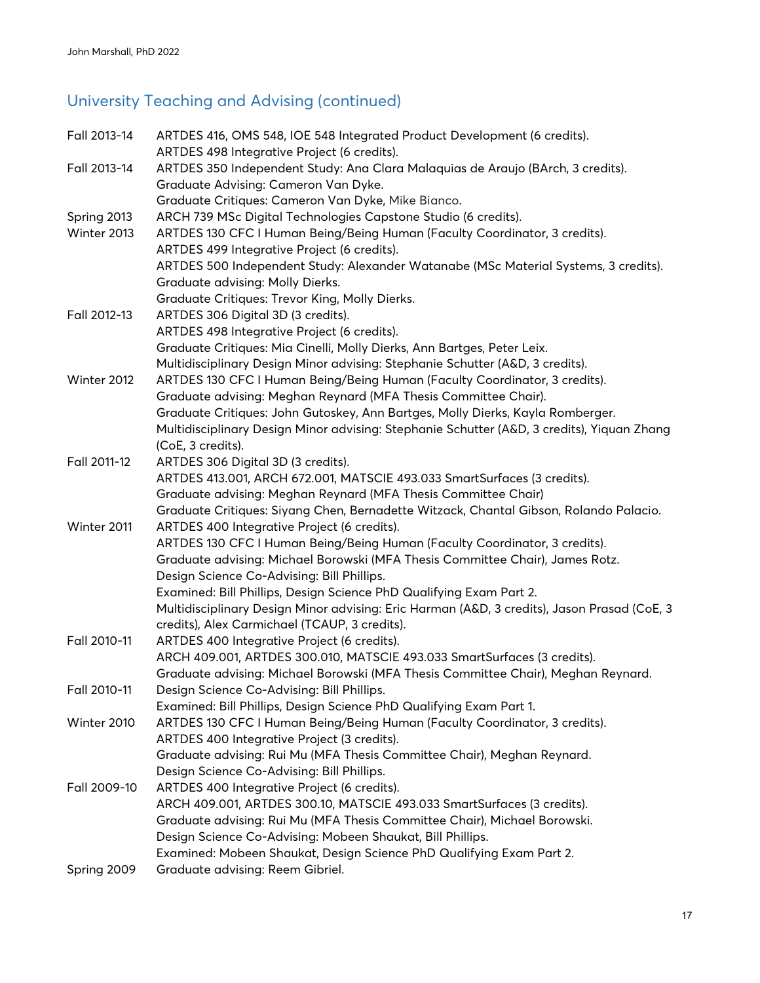# University Teaching and Advising (continued)

| Fall 2013-14 | ARTDES 416, OMS 548, IOE 548 Integrated Product Development (6 credits).                    |
|--------------|---------------------------------------------------------------------------------------------|
|              | ARTDES 498 Integrative Project (6 credits).                                                 |
| Fall 2013-14 | ARTDES 350 Independent Study: Ana Clara Malaquias de Araujo (BArch, 3 credits).             |
|              | Graduate Advising: Cameron Van Dyke.                                                        |
|              | Graduate Critiques: Cameron Van Dyke, Mike Bianco.                                          |
| Spring 2013  | ARCH 739 MSc Digital Technologies Capstone Studio (6 credits).                              |
| Winter 2013  | ARTDES 130 CFC I Human Being/Being Human (Faculty Coordinator, 3 credits).                  |
|              | ARTDES 499 Integrative Project (6 credits).                                                 |
|              | ARTDES 500 Independent Study: Alexander Watanabe (MSc Material Systems, 3 credits).         |
|              | Graduate advising: Molly Dierks.                                                            |
|              | Graduate Critiques: Trevor King, Molly Dierks.                                              |
| Fall 2012-13 | ARTDES 306 Digital 3D (3 credits).                                                          |
|              | ARTDES 498 Integrative Project (6 credits).                                                 |
|              | Graduate Critiques: Mia Cinelli, Molly Dierks, Ann Bartges, Peter Leix.                     |
|              | Multidisciplinary Design Minor advising: Stephanie Schutter (A&D, 3 credits).               |
| Winter 2012  | ARTDES 130 CFC I Human Being/Being Human (Faculty Coordinator, 3 credits).                  |
|              | Graduate advising: Meghan Reynard (MFA Thesis Committee Chair).                             |
|              | Graduate Critiques: John Gutoskey, Ann Bartges, Molly Dierks, Kayla Romberger.              |
|              | Multidisciplinary Design Minor advising: Stephanie Schutter (A&D, 3 credits), Yiquan Zhang  |
|              | (CoE, 3 credits).                                                                           |
| Fall 2011-12 | ARTDES 306 Digital 3D (3 credits).                                                          |
|              | ARTDES 413.001, ARCH 672.001, MATSCIE 493.033 SmartSurfaces (3 credits).                    |
|              | Graduate advising: Meghan Reynard (MFA Thesis Committee Chair)                              |
|              | Graduate Critiques: Siyang Chen, Bernadette Witzack, Chantal Gibson, Rolando Palacio.       |
| Winter 2011  | ARTDES 400 Integrative Project (6 credits).                                                 |
|              | ARTDES 130 CFC I Human Being/Being Human (Faculty Coordinator, 3 credits).                  |
|              | Graduate advising: Michael Borowski (MFA Thesis Committee Chair), James Rotz.               |
|              | Design Science Co-Advising: Bill Phillips.                                                  |
|              | Examined: Bill Phillips, Design Science PhD Qualifying Exam Part 2.                         |
|              | Multidisciplinary Design Minor advising: Eric Harman (A&D, 3 credits), Jason Prasad (CoE, 3 |
|              | credits), Alex Carmichael (TCAUP, 3 credits).                                               |
| Fall 2010-11 | ARTDES 400 Integrative Project (6 credits).                                                 |
|              | ARCH 409.001, ARTDES 300.010, MATSCIE 493.033 SmartSurfaces (3 credits).                    |
|              | Graduate advising: Michael Borowski (MFA Thesis Committee Chair), Meghan Reynard.           |
| Fall 2010-11 | Design Science Co-Advising: Bill Phillips.                                                  |
|              | Examined: Bill Phillips, Design Science PhD Qualifying Exam Part 1.                         |
| Winter 2010  | ARTDES 130 CFC I Human Being/Being Human (Faculty Coordinator, 3 credits).                  |
|              | ARTDES 400 Integrative Project (3 credits).                                                 |
|              | Graduate advising: Rui Mu (MFA Thesis Committee Chair), Meghan Reynard.                     |
|              | Design Science Co-Advising: Bill Phillips.                                                  |
| Fall 2009-10 | ARTDES 400 Integrative Project (6 credits).                                                 |
|              | ARCH 409.001, ARTDES 300.10, MATSCIE 493.033 SmartSurfaces (3 credits).                     |
|              | Graduate advising: Rui Mu (MFA Thesis Committee Chair), Michael Borowski.                   |
|              | Design Science Co-Advising: Mobeen Shaukat, Bill Phillips.                                  |
|              | Examined: Mobeen Shaukat, Design Science PhD Qualifying Exam Part 2.                        |
| Spring 2009  | Graduate advising: Reem Gibriel.                                                            |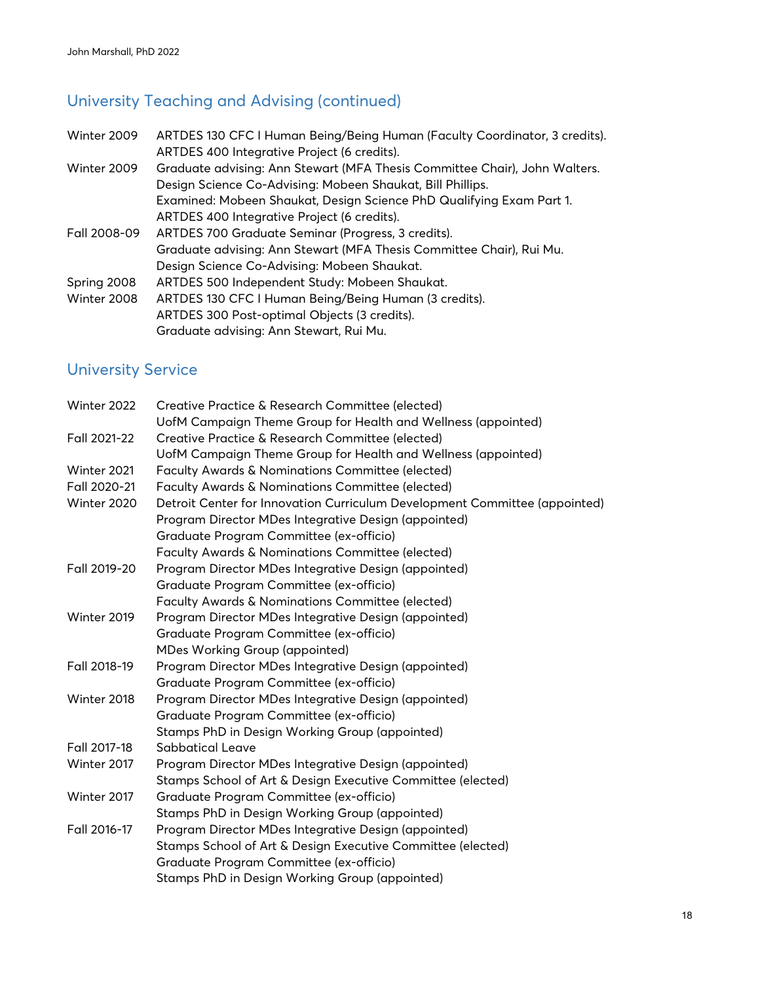### University Teaching and Advising (continued)

Winter 2009 ARTDES 130 CFC I Human Being/Being Human (Faculty Coordinator, 3 credits). ARTDES 400 Integrative Project (6 credits). Winter 2009 Graduate advising: Ann Stewart (MFA Thesis Committee Chair), John Walters. Design Science Co-Advising: Mobeen Shaukat, Bill Phillips. Examined: Mobeen Shaukat, Design Science PhD Qualifying Exam Part 1. ARTDES 400 Integrative Project (6 credits). Fall 2008-09 ARTDES 700 Graduate Seminar (Progress, 3 credits). Graduate advising: Ann Stewart (MFA Thesis Committee Chair), Rui Mu. Design Science Co-Advising: Mobeen Shaukat. Spring 2008 ARTDES 500 Independent Study: Mobeen Shaukat. Winter 2008 ARTDES 130 CFC I Human Being/Being Human (3 credits). ARTDES 300 Post-optimal Objects (3 credits). Graduate advising: Ann Stewart, Rui Mu.

#### University Service

| Winter 2022  | Creative Practice & Research Committee (elected)                           |
|--------------|----------------------------------------------------------------------------|
|              | UofM Campaign Theme Group for Health and Wellness (appointed)              |
| Fall 2021-22 | Creative Practice & Research Committee (elected)                           |
|              | UofM Campaign Theme Group for Health and Wellness (appointed)              |
| Winter 2021  | Faculty Awards & Nominations Committee (elected)                           |
| Fall 2020-21 | Faculty Awards & Nominations Committee (elected)                           |
| Winter 2020  | Detroit Center for Innovation Curriculum Development Committee (appointed) |
|              | Program Director MDes Integrative Design (appointed)                       |
|              | Graduate Program Committee (ex-officio)                                    |
|              | <b>Faculty Awards &amp; Nominations Committee (elected)</b>                |
| Fall 2019-20 | Program Director MDes Integrative Design (appointed)                       |
|              | Graduate Program Committee (ex-officio)                                    |
|              | Faculty Awards & Nominations Committee (elected)                           |
| Winter 2019  | Program Director MDes Integrative Design (appointed)                       |
|              | Graduate Program Committee (ex-officio)                                    |
|              | <b>MDes Working Group (appointed)</b>                                      |
| Fall 2018-19 | Program Director MDes Integrative Design (appointed)                       |
|              | Graduate Program Committee (ex-officio)                                    |
| Winter 2018  | Program Director MDes Integrative Design (appointed)                       |
|              | Graduate Program Committee (ex-officio)                                    |
|              | Stamps PhD in Design Working Group (appointed)                             |
| Fall 2017-18 | Sabbatical Leave                                                           |
| Winter 2017  | Program Director MDes Integrative Design (appointed)                       |
|              | Stamps School of Art & Design Executive Committee (elected)                |
| Winter 2017  | Graduate Program Committee (ex-officio)                                    |
|              | Stamps PhD in Design Working Group (appointed)                             |
| Fall 2016-17 | Program Director MDes Integrative Design (appointed)                       |
|              | Stamps School of Art & Design Executive Committee (elected)                |
|              | Graduate Program Committee (ex-officio)                                    |
|              | Stamps PhD in Design Working Group (appointed)                             |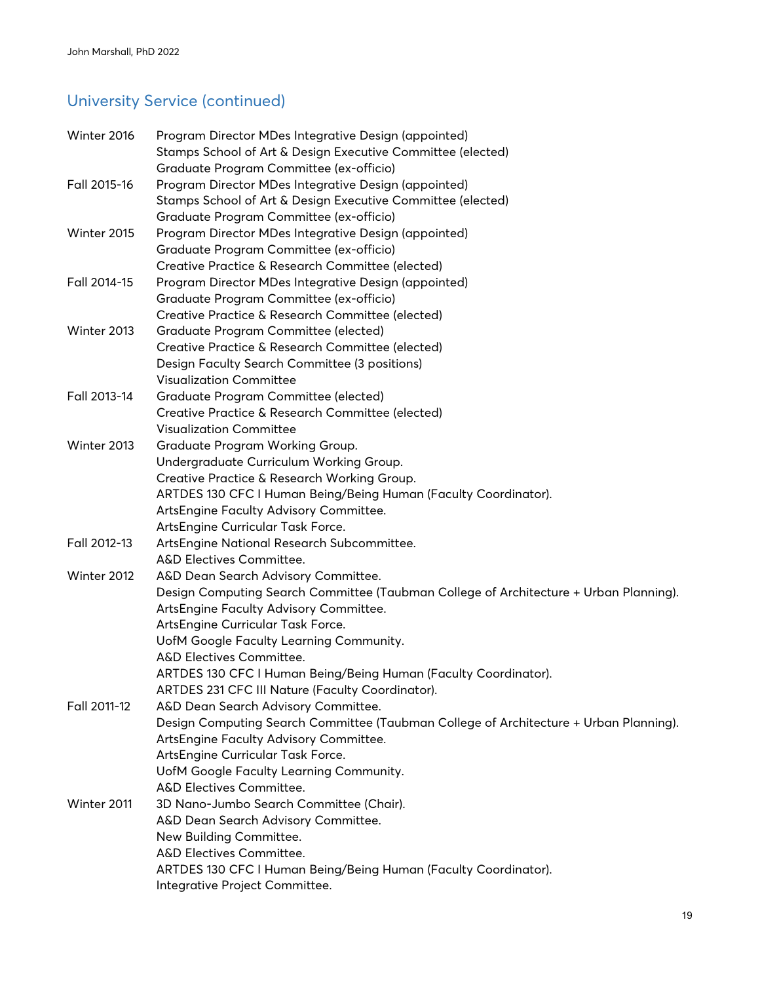# University Service (continued)

| Winter 2016  | Program Director MDes Integrative Design (appointed)<br>Stamps School of Art & Design Executive Committee (elected) |
|--------------|---------------------------------------------------------------------------------------------------------------------|
|              | Graduate Program Committee (ex-officio)                                                                             |
| Fall 2015-16 | Program Director MDes Integrative Design (appointed)                                                                |
|              | Stamps School of Art & Design Executive Committee (elected)                                                         |
|              | Graduate Program Committee (ex-officio)                                                                             |
| Winter 2015  | Program Director MDes Integrative Design (appointed)                                                                |
|              | Graduate Program Committee (ex-officio)                                                                             |
|              | Creative Practice & Research Committee (elected)                                                                    |
| Fall 2014-15 | Program Director MDes Integrative Design (appointed)                                                                |
|              | Graduate Program Committee (ex-officio)                                                                             |
|              | Creative Practice & Research Committee (elected)                                                                    |
| Winter 2013  | Graduate Program Committee (elected)                                                                                |
|              | Creative Practice & Research Committee (elected)                                                                    |
|              | Design Faculty Search Committee (3 positions)                                                                       |
|              | <b>Visualization Committee</b>                                                                                      |
| Fall 2013-14 | Graduate Program Committee (elected)                                                                                |
|              | Creative Practice & Research Committee (elected)                                                                    |
|              | <b>Visualization Committee</b>                                                                                      |
| Winter 2013  | Graduate Program Working Group.                                                                                     |
|              | Undergraduate Curriculum Working Group.                                                                             |
|              | Creative Practice & Research Working Group.                                                                         |
|              | ARTDES 130 CFC I Human Being/Being Human (Faculty Coordinator).                                                     |
|              | ArtsEngine Faculty Advisory Committee.                                                                              |
|              | ArtsEngine Curricular Task Force.                                                                                   |
| Fall 2012-13 | ArtsEngine National Research Subcommittee.                                                                          |
|              | A&D Electives Committee.                                                                                            |
| Winter 2012  | A&D Dean Search Advisory Committee.                                                                                 |
|              | Design Computing Search Committee (Taubman College of Architecture + Urban Planning).                               |
|              | ArtsEngine Faculty Advisory Committee.                                                                              |
|              | ArtsEngine Curricular Task Force.                                                                                   |
|              | UofM Google Faculty Learning Community.                                                                             |
|              | A&D Electives Committee.                                                                                            |
|              | ARTDES 130 CFC I Human Being/Being Human (Faculty Coordinator).                                                     |
|              | ARTDES 231 CFC III Nature (Faculty Coordinator).                                                                    |
| Fall 2011-12 | A&D Dean Search Advisory Committee.                                                                                 |
|              | Design Computing Search Committee (Taubman College of Architecture + Urban Planning).                               |
|              | ArtsEngine Faculty Advisory Committee.                                                                              |
|              | ArtsEngine Curricular Task Force.                                                                                   |
|              | UofM Google Faculty Learning Community.                                                                             |
|              | A&D Electives Committee.<br>3D Nano-Jumbo Search Committee (Chair).                                                 |
| Winter 2011  |                                                                                                                     |
|              | A&D Dean Search Advisory Committee.<br>New Building Committee.                                                      |
|              | A&D Electives Committee.                                                                                            |
|              | ARTDES 130 CFC I Human Being/Being Human (Faculty Coordinator).                                                     |
|              | Integrative Project Committee.                                                                                      |
|              |                                                                                                                     |